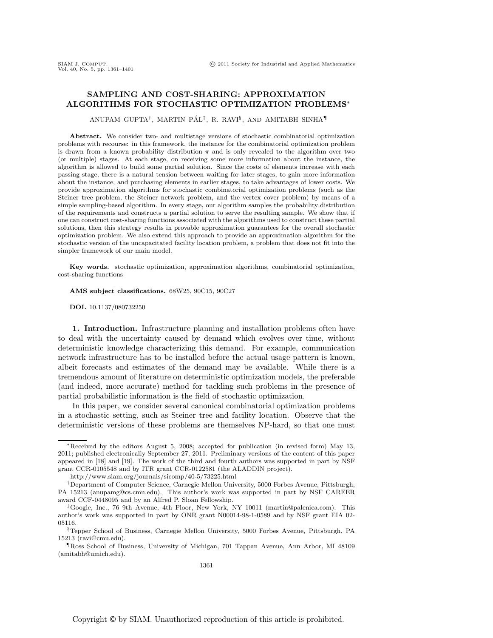## **SAMPLING AND COST-SHARING: APPROXIMATION ALGORITHMS FOR STOCHASTIC OPTIMIZATION PROBLEMS**∗

ANUPAM GUPTA<sup>†</sup>, MARTIN PÁL<sup>‡</sup>, R. RAVI<sup>§</sup>, AND AMITABH SINHA

**Abstract.** We consider two- and multistage versions of stochastic combinatorial optimization problems with recourse: in this framework, the instance for the combinatorial optimization problem is drawn from a known probability distribution  $\pi$  and is only revealed to the algorithm over two (or multiple) stages. At each stage, on receiving some more information about the instance, the algorithm is allowed to build some partial solution. Since the costs of elements increase with each passing stage, there is a natural tension between waiting for later stages, to gain more information about the instance, and purchasing elements in earlier stages, to take advantages of lower costs. We provide approximation algorithms for stochastic combinatorial optimization problems (such as the Steiner tree problem, the Steiner network problem, and the vertex cover problem) by means of a simple sampling-based algorithm. In every stage, our algorithm samples the probability distribution of the requirements and constructs a partial solution to serve the resulting sample. We show that if one can construct cost-sharing functions associated with the algorithms used to construct these partial solutions, then this strategy results in provable approximation guarantees for the overall stochastic optimization problem. We also extend this approach to provide an approximation algorithm for the stochastic version of the uncapacitated facility location problem, a problem that does not fit into the simpler framework of our main model.

**Key words.** stochastic optimization, approximation algorithms, combinatorial optimization, cost-sharing functions

**AMS subject classifications.** 68W25, 90C15, 90C27

**DOI.** 10.1137/080732250

**1. Introduction.** Infrastructure planning and installation problems often have to deal with the uncertainty caused by demand which evolves over time, without deterministic knowledge characterizing this demand. For example, communication network infrastructure has to be installed before the actual usage pattern is known, albeit forecasts and estimates of the demand may be available. While there is a tremendous amount of literature on deterministic optimization models, the preferable (and indeed, more accurate) method for tackling such problems in the presence of partial probabilistic information is the field of stochastic optimization.

In this paper, we consider several canonical combinatorial optimization problems in a stochastic setting, such as Steiner tree and facility location. Observe that the deterministic versions of these problems are themselves NP-hard, so that one must

<sup>∗</sup>Received by the editors August 5, 2008; accepted for publication (in revised form) May 13, 2011; published electronically September 27, 2011. Preliminary versions of the content of this paper appeared in [18] and [19]. The work of the third and fourth authors was supported in part by NSF grant CCR-0105548 and by ITR grant CCR-0122581 (the ALADDIN project).

http://www.siam.org/journals/sicomp/40-5/73225.html

<sup>†</sup>Department of Computer Science, Carnegie Mellon University, 5000 Forbes Avenue, Pittsburgh, PA 15213 (anupamg@cs.cmu.edu). This author's work was supported in part by NSF CAREER award CCF-0448095 and by an Alfred P. Sloan Fellowship.

<sup>‡</sup>Google, Inc., 76 9th Avenue, 4th Floor, New York, NY 10011 (martin@palenica.com). This author's work was supported in part by ONR grant N00014-98-1-0589 and by NSF grant EIA 02- 05116.

<sup>§</sup>Tepper School of Business, Carnegie Mellon University, 5000 Forbes Avenue, Pittsburgh, PA 15213 (ravi@cmu.edu).

<sup>¶</sup>Ross School of Business, University of Michigan, 701 Tappan Avenue, Ann Arbor, MI 48109 (amitabh@umich.edu).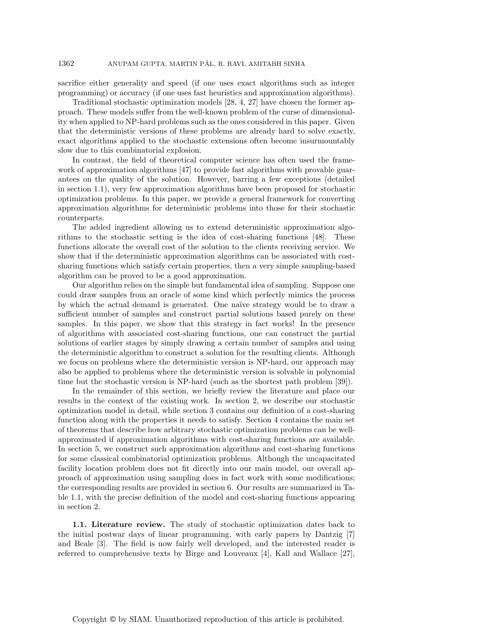sacrifice either generality and speed (if one uses exact algorithms such as integer programming) or accuracy (if one uses fast heuristics and approximation algorithms).

Traditional stochastic optimization models [28, 4, 27] have chosen the former approach. These models suffer from the well-known problem of the curse of dimensionality when applied to NP-hard problems such as the ones considered in this paper. Given that the deterministic versions of these problems are already hard to solve exactly, exact algorithms applied to the stochastic extensions often become insurmountably slow due to this combinatorial explosion.

In contrast, the field of theoretical computer science has often used the framework of approximation algorithms [47] to provide fast algorithms with provable guarantees on the quality of the solution. However, barring a few exceptions (detailed in section 1.1), very few approximation algorithms have been proposed for stochastic optimization problems. In this paper, we provide a general framework for converting approximation algorithms for deterministic problems into those for their stochastic counterparts.

The added ingredient allowing us to extend deterministic approximation algorithms to the stochastic setting is the idea of cost-sharing functions [48]. These functions allocate the overall cost of the solution to the clients receiving service. We show that if the deterministic approximation algorithms can be associated with costsharing functions which satisfy certain properties, then a very simple sampling-based algorithm can be proved to be a good approximation.

Our algorithm relies on the simple but fundamental idea of sampling. Suppose one could draw samples from an oracle of some kind which perfectly mimics the process by which the actual demand is generated. One na¨ıve strategy would be to draw a sufficient number of samples and construct partial solutions based purely on these samples. In this paper, we show that this strategy in fact works! In the presence of algorithms with associated cost-sharing functions, one can construct the partial solutions of earlier stages by simply drawing a certain number of samples and using the deterministic algorithm to construct a solution for the resulting clients. Although we focus on problems where the deterministic version is NP-hard, our approach may also be applied to problems where the deterministic version is solvable in polynomial time but the stochastic version is NP-hard (such as the shortest path problem [39]).

In the remainder of this section, we briefly review the literature and place our results in the context of the existing work. In section 2, we describe our stochastic optimization model in detail, while section 3 contains our definition of a cost-sharing function along with the properties it needs to satisfy. Section 4 contains the main set of theorems that describe how arbitrary stochastic optimization problems can be wellapproximated if approximation algorithms with cost-sharing functions are available. In section 5, we construct such approximation algorithms and cost-sharing functions for some classical combinatorial optimization problems. Although the uncapacitated facility location problem does not fit directly into our main model, our overall approach of approximation using sampling does in fact work with some modifications; the corresponding results are provided in section 6. Our results are summarized in Table 1.1, with the precise definition of the model and cost-sharing functions appearing in section 2.

**1.1. Literature review.** The study of stochastic optimization dates back to the initial postwar days of linear programming, with early papers by Dantzig [7] and Beale [3]. The field is now fairly well developed, and the interested reader is referred to comprehensive texts by Birge and Louveaux [4], Kall and Wallace [27],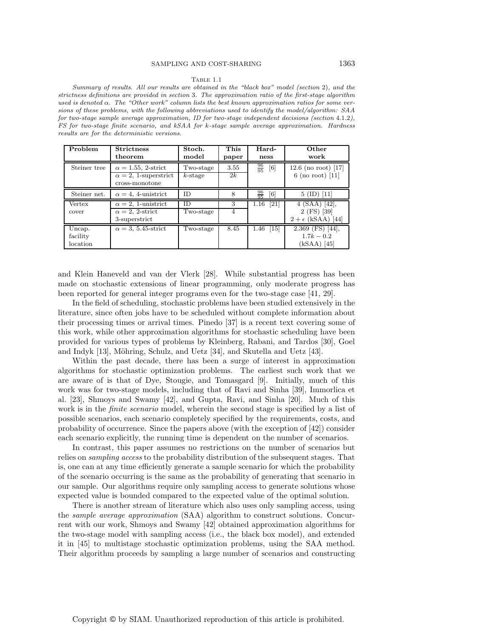## Table 1.1

Summary of results. All our results are obtained in the "black box" model (section 2), and the strictness definitions are provided in section 3. The approximation ratio of the first-stage algorithm used is denoted  $\alpha$ . The "Other work" column lists the best known approximation ratios for some versions of these problems, with the following abbreviations used to identify the model/algorithm: SAA for two-stage sample average approximation, ID for two-stage independent decisions (section 4.1.2), FS for two-stage finite scenario, and kSAA for k-stage sample average approximation. Hardness results are for the deterministic versions.

| Problem      | <b>Strictness</b><br>theorem                                                 | Stoch.<br>model         | This<br>paper  | Hard-<br>ness             | Other<br>work                          |
|--------------|------------------------------------------------------------------------------|-------------------------|----------------|---------------------------|----------------------------------------|
| Steiner tree | $\alpha = 1.55$ , 2-strict<br>$\alpha = 2$ , 1-superstrict<br>cross-monotone | Two-stage<br>$k$ -stage | 3.55<br>2k     | $\frac{96}{95}$<br>[6]    | 12.6 (no root) $[17]$<br>$6 \pmod{11}$ |
| Steiner net. | $\alpha = 4$ , 4-unistrict                                                   | ID                      | 8              | $\frac{96}{95}$<br>[6]    | $5$ (ID) [11]                          |
| Vertex       | $\alpha = 2$ , 1-unistrict                                                   | <b>ID</b>               | 3              | [21]<br>1.16              | 4 (SAA) [42],                          |
| cover        | $\alpha = 2$ , 2-strict                                                      | Two-stage               | $\overline{4}$ |                           | $2$ (FS) [39]                          |
|              | 3-superstrict                                                                |                         |                |                           | $2 + \epsilon$ (kSAA) [44]             |
| Uncap.       | $\alpha = 3, 5.45$ -strict                                                   | Two-stage               | 8.45           | $\left[15\right]$<br>1.46 | $2.369$ (FS) [44],                     |
| facility     |                                                                              |                         |                |                           | $1.7k - 0.2$                           |
| location     |                                                                              |                         |                |                           | $(kSAA)$ [45]                          |

and Klein Haneveld and van der Vlerk [28]. While substantial progress has been made on stochastic extensions of linear programming, only moderate progress has been reported for general integer programs even for the two-stage case [41, 29].

In the field of scheduling, stochastic problems have been studied extensively in the literature, since often jobs have to be scheduled without complete information about their processing times or arrival times. Pinedo [37] is a recent text covering some of this work, while other approximation algorithms for stochastic scheduling have been provided for various types of problems by Kleinberg, Rabani, and Tardos [30], Goel and Indyk [13], Möhring, Schulz, and Uetz [34], and Skutella and Uetz [43].

Within the past decade, there has been a surge of interest in approximation algorithms for stochastic optimization problems. The earliest such work that we are aware of is that of Dye, Stougie, and Tomasgard [9]. Initially, much of this work was for two-stage models, including that of Ravi and Sinha [39], Immorlica et al. [23], Shmoys and Swamy [42], and Gupta, Ravi, and Sinha [20]. Much of this work is in the *finite scenario* model, wherein the second stage is specified by a list of possible scenarios, each scenario completely specified by the requirements, costs, and probability of occurrence. Since the papers above (with the exception of [42]) consider each scenario explicitly, the running time is dependent on the number of scenarios.

In contrast, this paper assumes no restrictions on the number of scenarios but relies on *sampling access* to the probability distribution of the subsequent stages. That is, one can at any time efficiently generate a sample scenario for which the probability of the scenario occurring is the same as the probability of generating that scenario in our sample. Our algorithms require only sampling access to generate solutions whose expected value is bounded compared to the expected value of the optimal solution.

There is another stream of literature which also uses only sampling access, using the *sample average approximation* (SAA) algorithm to construct solutions. Concurrent with our work, Shmoys and Swamy [42] obtained approximation algorithms for the two-stage model with sampling access (i.e., the black box model), and extended it in [45] to multistage stochastic optimization problems, using the SAA method. Their algorithm proceeds by sampling a large number of scenarios and constructing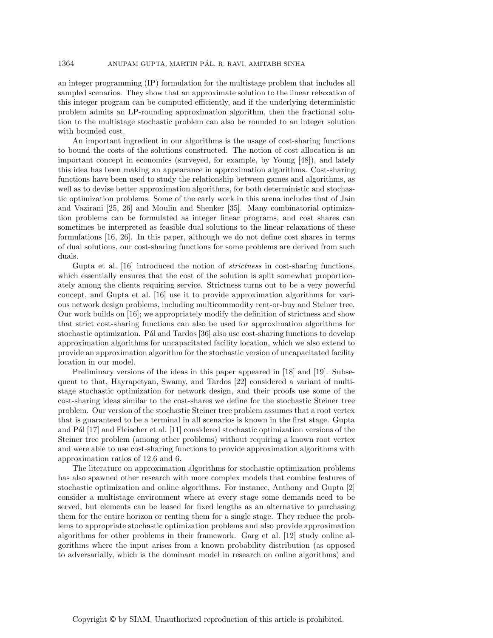an integer programming (IP) formulation for the multistage problem that includes all sampled scenarios. They show that an approximate solution to the linear relaxation of this integer program can be computed efficiently, and if the underlying deterministic problem admits an LP-rounding approximation algorithm, then the fractional solution to the multistage stochastic problem can also be rounded to an integer solution with bounded cost.

An important ingredient in our algorithms is the usage of cost-sharing functions to bound the costs of the solutions constructed. The notion of cost allocation is an important concept in economics (surveyed, for example, by Young [48]), and lately this idea has been making an appearance in approximation algorithms. Cost-sharing functions have been used to study the relationship between games and algorithms, as well as to devise better approximation algorithms, for both deterministic and stochastic optimization problems. Some of the early work in this arena includes that of Jain and Vazirani [25, 26] and Moulin and Shenker [35]. Many combinatorial optimization problems can be formulated as integer linear programs, and cost shares can sometimes be interpreted as feasible dual solutions to the linear relaxations of these formulations [16, 26]. In this paper, although we do not define cost shares in terms of dual solutions, our cost-sharing functions for some problems are derived from such duals.

Gupta et al. [16] introduced the notion of *strictness* in cost-sharing functions, which essentially ensures that the cost of the solution is split somewhat proportionately among the clients requiring service. Strictness turns out to be a very powerful concept, and Gupta et al. [16] use it to provide approximation algorithms for various network design problems, including multicommodity rent-or-buy and Steiner tree. Our work builds on [16]; we appropriately modify the definition of strictness and show that strict cost-sharing functions can also be used for approximation algorithms for stochastic optimization. Pál and Tardos [36] also use cost-sharing functions to develop approximation algorithms for uncapacitated facility location, which we also extend to provide an approximation algorithm for the stochastic version of uncapacitated facility location in our model.

Preliminary versions of the ideas in this paper appeared in [18] and [19]. Subsequent to that, Hayrapetyan, Swamy, and Tardos [22] considered a variant of multistage stochastic optimization for network design, and their proofs use some of the cost-sharing ideas similar to the cost-shares we define for the stochastic Steiner tree problem. Our version of the stochastic Steiner tree problem assumes that a root vertex that is guaranteed to be a terminal in all scenarios is known in the first stage. Gupta and P $\acute{a}$ l [17] and Fleischer et al. [11] considered stochastic optimization versions of the Steiner tree problem (among other problems) without requiring a known root vertex and were able to use cost-sharing functions to provide approximation algorithms with approximation ratios of 12.6 and 6.

The literature on approximation algorithms for stochastic optimization problems has also spawned other research with more complex models that combine features of stochastic optimization and online algorithms. For instance, Anthony and Gupta [2] consider a multistage environment where at every stage some demands need to be served, but elements can be leased for fixed lengths as an alternative to purchasing them for the entire horizon or renting them for a single stage. They reduce the problems to appropriate stochastic optimization problems and also provide approximation algorithms for other problems in their framework. Garg et al. [12] study online algorithms where the input arises from a known probability distribution (as opposed to adversarially, which is the dominant model in research on online algorithms) and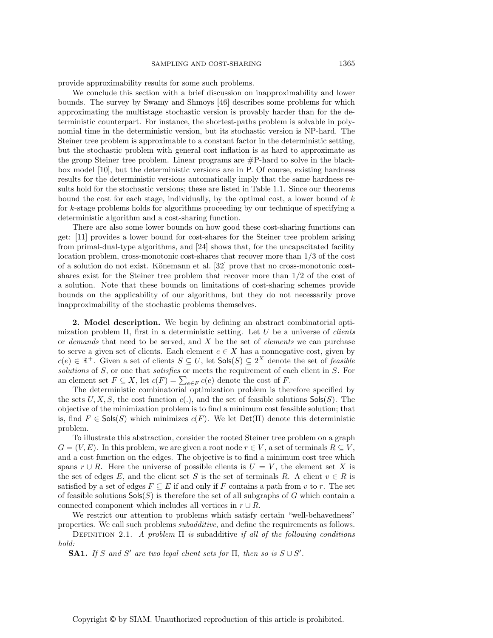provide approximability results for some such problems.

We conclude this section with a brief discussion on inapproximability and lower bounds. The survey by Swamy and Shmoys [46] describes some problems for which approximating the multistage stochastic version is provably harder than for the deterministic counterpart. For instance, the shortest-paths problem is solvable in polynomial time in the deterministic version, but its stochastic version is NP-hard. The Steiner tree problem is approximable to a constant factor in the deterministic setting, but the stochastic problem with general cost inflation is as hard to approximate as the group Steiner tree problem. Linear programs are  $\#P$ -hard to solve in the blackbox model [10], but the deterministic versions are in P. Of course, existing hardness results for the deterministic versions automatically imply that the same hardness results hold for the stochastic versions; these are listed in Table 1.1. Since our theorems bound the cost for each stage, individually, by the optimal cost, a lower bound of  $k$ for k-stage problems holds for algorithms proceeding by our technique of specifying a deterministic algorithm and a cost-sharing function.

There are also some lower bounds on how good these cost-sharing functions can get: [11] provides a lower bound for cost-shares for the Steiner tree problem arising from primal-dual-type algorithms, and [24] shows that, for the uncapacitated facility location problem, cross-monotonic cost-shares that recover more than 1/3 of the cost of a solution do not exist. Könemann et al. [32] prove that no cross-monotonic costshares exist for the Steiner tree problem that recover more than 1/2 of the cost of a solution. Note that these bounds on limitations of cost-sharing schemes provide bounds on the applicability of our algorithms, but they do not necessarily prove inapproximability of the stochastic problems themselves.

**2. Model description.** We begin by defining an abstract combinatorial optimization problem Π, first in a deterministic setting. Let U be a universe of *clients* or *demands* that need to be served, and X be the set of *elements* we can purchase to serve a given set of clients. Each element  $e \in X$  has a nonnegative cost, given by  $c(e) \in \mathbb{R}^+$ . Given a set of clients  $S \subseteq U$ , let  $\mathsf{Sols}(S) \subseteq 2^X$  denote the set of *feasible solutions* of S, or one that *satisfies* or meets the requirement of each client in S. For an element set  $F \subseteq X$ , let  $c(F) = \sum_{e \in F} c(e)$  denote the cost of  $F$ .

The deterministic combinatorial optimization problem is therefore specified by the sets  $U, X, S$ , the cost function  $c(.)$ , and the set of feasible solutions  $\mathsf{Sols}(S)$ . The objective of the minimization problem is to find a minimum cost feasible solution; that is, find  $F \in \mathsf{Sols}(S)$  which minimizes  $c(F)$ . We let  $\mathsf{Det}(\Pi)$  denote this deterministic problem.

To illustrate this abstraction, consider the rooted Steiner tree problem on a graph  $G = (V, E)$ . In this problem, we are given a root node  $r \in V$ , a set of terminals  $R \subseteq V$ , and a cost function on the edges. The objective is to find a minimum cost tree which spans  $r \cup R$ . Here the universe of possible clients is  $U = V$ , the element set X is the set of edges E, and the client set S is the set of terminals R. A client  $v \in R$  is satisfied by a set of edges  $F \subseteq E$  if and only if F contains a path from v to r. The set of feasible solutions  $\mathsf{Sols}(S)$  is therefore the set of all subgraphs of G which contain a connected component which includes all vertices in  $r \cup R$ .

We restrict our attention to problems which satisfy certain "well-behavedness" properties. We call such problems *subadditive*, and define the requirements as follows.

Definition 2.1. *A problem* Π *is* subadditive *if all of the following conditions hold:*

**SA1.** *If* S and S' are two legal client sets for  $\Pi$ , then so is  $S \cup S'$ .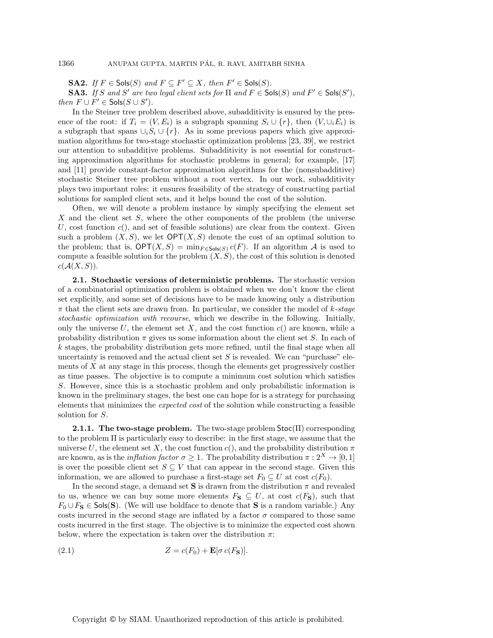**SA2.** *If*  $F \in \text{Sols}(S)$  *and*  $F \subseteq F' \subseteq X$ *, then*  $F' \in \text{Sols}(S)$ *.* 

**SA3.** *If* S and S' are two legal client sets for  $\Pi$  and  $F \in \mathsf{Sols}(S)$  and  $F' \in \mathsf{Sols}(S')$ ,  $then F \cup F' \in \mathsf{Sols}(S \cup S')$ .

In the Steiner tree problem described above, subadditivity is ensured by the presence of the root: if  $T_i = (V, E_i)$  is a subgraph spanning  $S_i \cup \{r\}$ , then  $(V, \cup_i E_i)$  is a subgraph that spans  $\cup_i S_i \cup \{r\}$ . As in some previous papers which give approximation algorithms for two-stage stochastic optimization problems [23, 39], we restrict our attention to subadditive problems. Subadditivity is not essential for constructing approximation algorithms for stochastic problems in general; for example, [17] and [11] provide constant-factor approximation algorithms for the (nonsubadditive) stochastic Steiner tree problem without a root vertex. In our work, subadditivity plays two important roles: it ensures feasibility of the strategy of constructing partial solutions for sampled client sets, and it helps bound the cost of the solution.

Often, we will denote a problem instance by simply specifying the element set X and the client set S, where the other components of the problem (the universe U, cost function  $c()$ , and set of feasible solutions) are clear from the context. Given such a problem  $(X, S)$ , we let  $\mathsf{OPT}(X, S)$  denote the cost of an optimal solution to the problem; that is,  $\mathsf{OPT}(X, S) = \min_{F \in \mathsf{Sols}(S)} c(F)$ . If an algorithm A is used to compute a feasible solution for the problem  $(X, S)$ , the cost of this solution is denoted  $c(\mathcal{A}(X, S)).$ 

**2.1. Stochastic versions of deterministic problems.** The stochastic version of a combinatorial optimization problem is obtained when we don't know the client set explicitly, and some set of decisions have to be made knowing only a distribution  $\pi$  that the client sets are drawn from. In particular, we consider the model of  $k$ -stage *stochastic optimization with recourse*, which we describe in the following. Initially, only the universe  $U$ , the element set  $X$ , and the cost function  $c()$  are known, while a probability distribution  $\pi$  gives us some information about the client set S. In each of  $k$  stages, the probability distribution gets more refined, until the final stage when all uncertainty is removed and the actual client set  $S$  is revealed. We can "purchase" elements of  $X$  at any stage in this process, though the elements get progressively costlier as time passes. The objective is to compute a minimum cost solution which satisfies S. However, since this is a stochastic problem and only probabilistic information is known in the preliminary stages, the best one can hope for is a strategy for purchasing elements that minimizes the *expected cost* of the solution while constructing a feasible solution for S.

**2.1.1. The two-stage problem.** The two-stage problem Stoc(Π) corresponding to the problem Π is particularly easy to describe: in the first stage, we assume that the universe U, the element set X, the cost function  $c()$ , and the probability distribution  $\pi$ are known, as is the *inflation factor*  $\sigma \geq 1$ . The probability distribution  $\pi : 2^X \to [0, 1]$ is over the possible client set  $S \subseteq V$  that can appear in the second stage. Given this information, we are allowed to purchase a first-stage set  $F_0 \subseteq U$  at cost  $c(F_0)$ .

In the second stage, a demand set  $S$  is drawn from the distribution  $\pi$  and revealed to us, whence we can buy some more elements  $F_S \subseteq U$ , at cost  $c(F_S)$ , such that  $F_0 \cup F_S \in \mathsf{Sols}(\mathbf{S})$ . (We will use boldface to denote that **S** is a random variable.) Any costs incurred in the second stage are inflated by a factor  $\sigma$  compared to those same costs incurred in the first stage. The objective is to minimize the expected cost shown below, where the expectation is taken over the distribution  $\pi$ :

(2.1) 
$$
Z = c(F_0) + \mathbf{E}[\sigma c(F_{\mathbf{S}})].
$$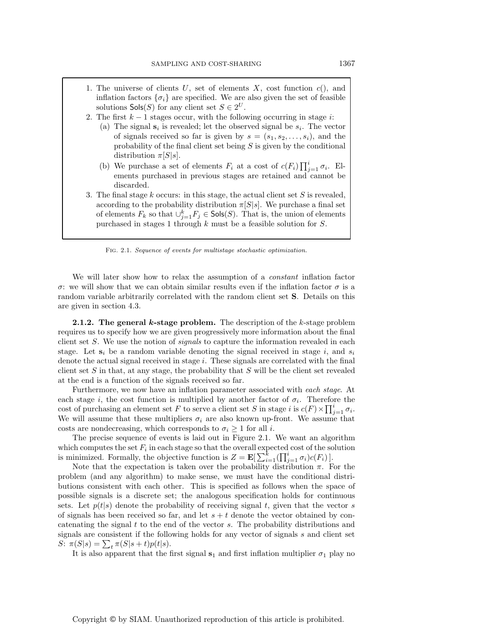- 1. The universe of clients U, set of elements X, cost function  $c()$ , and inflation factors  $\{\sigma_i\}$  are specified. We are also given the set of feasible solutions  $\mathsf{Sols}(S)$  for any client set  $S \in 2^U$ .
- 2. The first  $k 1$  stages occur, with the following occurring in stage i:
	- (a) The signal  $s_i$  is revealed; let the observed signal be  $s_i$ . The vector of signals received so far is given by  $s = (s_1, s_2, \ldots, s_i)$ , and the probability of the final client set being  $S$  is given by the conditional distribution  $\pi[S|s]$ .
	- (b) We purchase a set of elements  $F_i$  at a cost of  $c(F_i) \prod_{j=1}^i \sigma_i$ . Elements purchased in previous stages are retained and cannot be discarded.
- 3. The final stage  $k$  occurs: in this stage, the actual client set  $S$  is revealed, according to the probability distribution  $\pi[S|s]$ . We purchase a final set of elements  $F_k$  so that  $\cup_{j=1}^k F_j \in \mathsf{Sols}(S)$ . That is, the union of elements purchased in stages 1 through  $k$  must be a feasible solution for  $S$ .

Fig. 2.1. Sequence of events for multistage stochastic optimization.

We will later show how to relax the assumption of a *constant* inflation factor σ: we will show that we can obtain similar results even if the inflation factor σ is a random variable arbitrarily correlated with the random client set **S**. Details on this are given in section 4.3.

**2.1.2. The general** *k***-stage problem.** The description of the k-stage problem requires us to specify how we are given progressively more information about the final client set S. We use the notion of *signals* to capture the information revealed in each stage. Let  $s_i$  be a random variable denoting the signal received in stage i, and  $s_i$ denote the actual signal received in stage  $i$ . These signals are correlated with the final client set  $S$  in that, at any stage, the probability that  $S$  will be the client set revealed at the end is a function of the signals received so far.

Furthermore, we now have an inflation parameter associated with *each stage*. At each stage i, the cost function is multiplied by another factor of  $\sigma_i$ . Therefore the cost of purchasing an element set F to serve a client set S in stage i is  $c(F) \times \prod_{j=1}^{i} \sigma_i$ . We will assume that these multipliers  $\sigma_i$  are also known up-front. We assume that costs are nondecreasing, which corresponds to  $\sigma_i \geq 1$  for all *i*.

The precise sequence of events is laid out in Figure 2.1. We want an algorithm which computes the set  $F_i$  in each stage so that the overall expected cost of the solution is minimized. Formally, the objective function is  $Z = \mathbf{E}[\sum_{i=1}^{k}(\prod_{j=1}^{i}\sigma_i)c(F_i)].$ 

Note that the expectation is taken over the probability distribution  $\pi$ . For the problem (and any algorithm) to make sense, we must have the conditional distributions consistent with each other. This is specified as follows when the space of possible signals is a discrete set; the analogous specification holds for continuous sets. Let  $p(t|s)$  denote the probability of receiving signal t, given that the vector s of signals has been received so far, and let  $s + t$  denote the vector obtained by concatenating the signal t to the end of the vector s. The probability distributions and signals are consistent if the following holds for any vector of signals s and client set S:  $\pi(S|s) = \sum_t \pi(S|s+t) p(t|s)$ .

It is also apparent that the first signal  $s_1$  and first inflation multiplier  $\sigma_1$  play no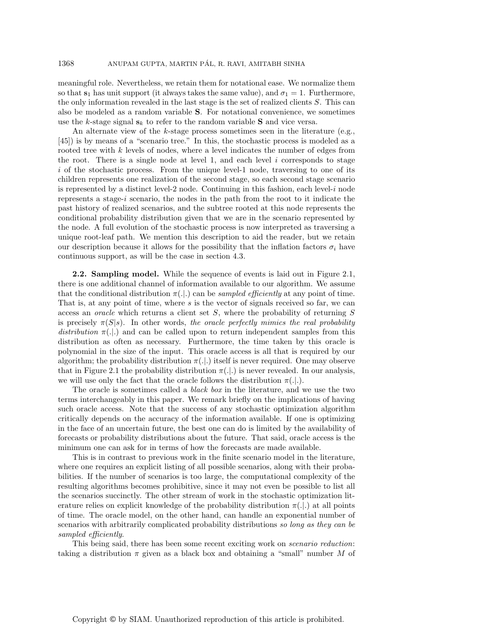meaningful role. Nevertheless, we retain them for notational ease. We normalize them so that  $s_1$  has unit support (it always takes the same value), and  $\sigma_1 = 1$ . Furthermore, the only information revealed in the last stage is the set of realized clients S. This can also be modeled as a random variable **S**. For notational convenience, we sometimes use the k-stage signal  $s_k$  to refer to the random variable **S** and vice versa.

An alternate view of the k-stage process sometimes seen in the literature (e.g., [45]) is by means of a "scenario tree." In this, the stochastic process is modeled as a rooted tree with k levels of nodes, where a level indicates the number of edges from the root. There is a single node at level 1, and each level  $i$  corresponds to stage  $i$  of the stochastic process. From the unique level-1 node, traversing to one of its children represents one realization of the second stage, so each second stage scenario is represented by a distinct level-2 node. Continuing in this fashion, each level- $i$  node represents a stage-i scenario, the nodes in the path from the root to it indicate the past history of realized scenarios, and the subtree rooted at this node represents the conditional probability distribution given that we are in the scenario represented by the node. A full evolution of the stochastic process is now interpreted as traversing a unique root-leaf path. We mention this description to aid the reader, but we retain our description because it allows for the possibility that the inflation factors  $\sigma_i$  have continuous support, as will be the case in section 4.3.

**2.2. Sampling model.** While the sequence of events is laid out in Figure 2.1, there is one additional channel of information available to our algorithm. We assume that the conditional distribution  $\pi(.)$  can be *sampled efficiently* at any point of time. That is, at any point of time, where  $s$  is the vector of signals received so far, we can access an *oracle* which returns a client set S, where the probability of returning S is precisely  $\pi(S|s)$ . In other words, *the oracle perfectly mimics the real probability*  $distribution \pi(.).$  and can be called upon to return independent samples from this distribution as often as necessary. Furthermore, the time taken by this oracle is polynomial in the size of the input. This oracle access is all that is required by our algorithm; the probability distribution  $\pi(.)$  is never required. One may observe that in Figure 2.1 the probability distribution  $\pi(.).$  is never revealed. In our analysis, we will use only the fact that the oracle follows the distribution  $\pi(.).$ 

The oracle is sometimes called a *black box* in the literature, and we use the two terms interchangeably in this paper. We remark briefly on the implications of having such oracle access. Note that the success of any stochastic optimization algorithm critically depends on the accuracy of the information available. If one is optimizing in the face of an uncertain future, the best one can do is limited by the availability of forecasts or probability distributions about the future. That said, oracle access is the minimum one can ask for in terms of how the forecasts are made available.

This is in contrast to previous work in the finite scenario model in the literature, where one requires an explicit listing of all possible scenarios, along with their probabilities. If the number of scenarios is too large, the computational complexity of the resulting algorithms becomes prohibitive, since it may not even be possible to list all the scenarios succinctly. The other stream of work in the stochastic optimization literature relies on explicit knowledge of the probability distribution  $\pi(.)$  at all points of time. The oracle model, on the other hand, can handle an exponential number of scenarios with arbitrarily complicated probability distributions *so long as they can be sampled efficiently*.

This being said, there has been some recent exciting work on *scenario reduction*: taking a distribution  $\pi$  given as a black box and obtaining a "small" number M of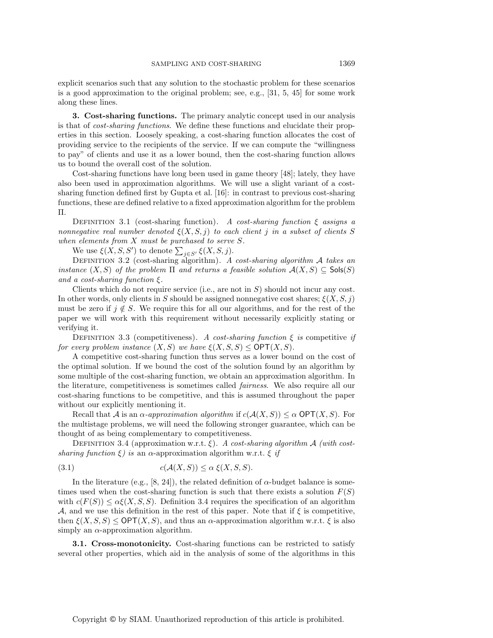explicit scenarios such that any solution to the stochastic problem for these scenarios is a good approximation to the original problem; see, e.g., [31, 5, 45] for some work along these lines.

**3. Cost-sharing functions.** The primary analytic concept used in our analysis is that of *cost-sharing functions*. We define these functions and elucidate their properties in this section. Loosely speaking, a cost-sharing function allocates the cost of providing service to the recipients of the service. If we can compute the "willingness to pay" of clients and use it as a lower bound, then the cost-sharing function allows us to bound the overall cost of the solution.

Cost-sharing functions have long been used in game theory [48]; lately, they have also been used in approximation algorithms. We will use a slight variant of a costsharing function defined first by Gupta et al. [16]: in contrast to previous cost-sharing functions, these are defined relative to a fixed approximation algorithm for the problem Π.

Definition 3.1 (cost-sharing function). *A cost-sharing function* ξ *assigns a nonnegative real number denoted*  $\xi(X, S, i)$  *to each client j in a subset of clients* S *when elements from* X *must be purchased to serve* S*.*

We use  $\xi(X, S, S')$  to denote  $\sum_{j \in S'} \xi(X, S, j)$ .

Definition 3.2 (cost-sharing algorithm). *A cost-sharing algorithm* A *takes an instance*  $(X, S)$  *of the problem*  $\Pi$  *and returns a feasible solution*  $\mathcal{A}(X, S) \subseteq S$ **ols** $(S)$ *and a cost-sharing function* ξ*.*

Clients which do not require service (i.e., are not in  $S$ ) should not incur any cost. In other words, only clients in S should be assigned nonnegative cost shares;  $\xi(X, S, i)$ must be zero if  $j \notin S$ . We require this for all our algorithms, and for the rest of the paper we will work with this requirement without necessarily explicitly stating or verifying it.

DEFINITION 3.3 (competitiveness). A cost-sharing function  $\xi$  is competitive if *for every problem instance*  $(X, S)$  *we have*  $\xi(X, S, S) \le \text{OPT}(X, S)$ *.* 

A competitive cost-sharing function thus serves as a lower bound on the cost of the optimal solution. If we bound the cost of the solution found by an algorithm by some multiple of the cost-sharing function, we obtain an approximation algorithm. In the literature, competitiveness is sometimes called *fairness*. We also require all our cost-sharing functions to be competitive, and this is assumed throughout the paper without our explicitly mentioning it.

Recall that A is an  $\alpha$ -approximation algorithm if  $c(\mathcal{A}(X, S)) \leq \alpha$  OPT $(X, S)$ . For the multistage problems, we will need the following stronger guarantee, which can be thought of as being complementary to competitiveness.

DEFINITION 3.4 (approximation w.r.t.  $\xi$ ). *A cost-sharing algorithm* A *(with costsharing function*  $\xi$ *) is* an  $\alpha$ -approximation algorithm w.r.t.  $\xi$  *if* 

(3.1) 
$$
c(\mathcal{A}(X, S)) \leq \alpha \xi(X, S, S).
$$

In the literature (e.g., [8, 24]), the related definition of  $\alpha$ -budget balance is sometimes used when the cost-sharing function is such that there exists a solution  $F(S)$ with  $c(F(S)) \leq \alpha \xi(X, S, S)$ . Definition 3.4 requires the specification of an algorithm A, and we use this definition in the rest of this paper. Note that if  $\xi$  is competitive, then  $\xi(X, S, S) \le \text{OPT}(X, S)$ , and thus an  $\alpha$ -approximation algorithm w.r.t.  $\xi$  is also simply an  $\alpha$ -approximation algorithm.

**3.1. Cross-monotonicity.** Cost-sharing functions can be restricted to satisfy several other properties, which aid in the analysis of some of the algorithms in this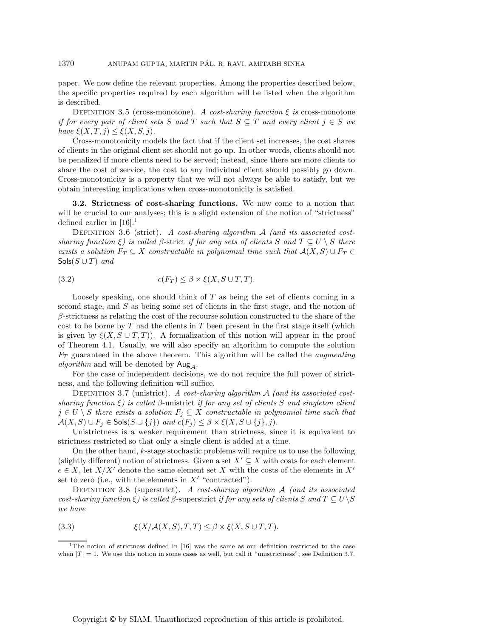paper. We now define the relevant properties. Among the properties described below, the specific properties required by each algorithm will be listed when the algorithm is described.

DEFINITION 3.5 (cross-monotone). *A cost-sharing function*  $\xi$  *is* cross-monotone *if for every pair of client sets* S and T such that  $S \subseteq T$  and every client  $j \in S$  we *have*  $\xi(X, T, j) \leq \xi(X, S, j)$ *.* 

Cross-monotonicity models the fact that if the client set increases, the cost shares of clients in the original client set should not go up. In other words, clients should not be penalized if more clients need to be served; instead, since there are more clients to share the cost of service, the cost to any individual client should possibly go down. Cross-monotonicity is a property that we will not always be able to satisfy, but we obtain interesting implications when cross-monotonicity is satisfied.

**3.2. Strictness of cost-sharing functions.** We now come to a notion that will be crucial to our analyses; this is a slight extension of the notion of "strictness" defined earlier in  $[16]$ <sup>1</sup>

DEFINITION 3.6 (strict). *A cost-sharing algorithm A (and its associated costsharing function*  $\xi$ *) is called*  $\beta$ -strict *if for any sets of clients* S and  $T \subseteq U \setminus S$  *there exists a solution*  $F_T \subseteq X$  *constructable in polynomial time such that*  $\mathcal{A}(X, S) \cup F_T \in$  $Sols(S \cup T)$  *and* 

(3.2) 
$$
c(F_T) \leq \beta \times \xi(X, S \cup T, T).
$$

Loosely speaking, one should think of  $T$  as being the set of clients coming in a second stage, and S as being some set of clients in the first stage, and the notion of  $\beta$ -strictness as relating the cost of the recourse solution constructed to the share of the cost to be borne by  $T$  had the clients in  $T$  been present in the first stage itself (which is given by  $\xi(X, S \cup T, T)$ ). A formalization of this notion will appear in the proof of Theorem 4.1. Usually, we will also specify an algorithm to compute the solution  $F_T$  guaranteed in the above theorem. This algorithm will be called the *augmenting algorithm* and will be denoted by  $\text{Aug}_4$ .

For the case of independent decisions, we do not require the full power of strictness, and the following definition will suffice.

DEFINITION 3.7 (unistrict). A cost-sharing algorithm  $\mathcal A$  *(and its associated costsharing function* ξ*) is called* β-unistrict *if for any set of clients* S *and singleton client*  $j \in U \setminus S$  there exists a solution  $F_j \subseteq X$  constructable in polynomial time such that  $\mathcal{A}(X, S) \cup F_i \in \mathsf{Sols}(S \cup \{j\})$  and  $c(F_i) \leq \beta \times \xi(X, S \cup \{j\}, j)$ .

Unistrictness is a weaker requirement than strictness, since it is equivalent to strictness restricted so that only a single client is added at a time.

On the other hand,  $k$ -stage stochastic problems will require us to use the following (slightly different) notion of strictness. Given a set  $X' \subseteq X$  with costs for each element  $e \in X$ , let  $X/X'$  denote the same element set X with the costs of the elements in X' set to zero (i.e., with the elements in  $X'$  "contracted").

Definition 3.8 (superstrict). *A cost-sharing algorithm* A *(and its associated cost-sharing function*  $\xi$ *) is called* β-superstrict *if for any sets of clients* S and  $T \subseteq U\backslash S$ *we have*

(3.3) 
$$
\xi(X/\mathcal{A}(X,S),T,T) \leq \beta \times \xi(X,S \cup T,T).
$$

<sup>&</sup>lt;sup>1</sup>The notion of strictness defined in [16] was the same as our definition restricted to the case when  $|T|=1$ . We use this notion in some cases as well, but call it "unistrictness"; see Definition 3.7.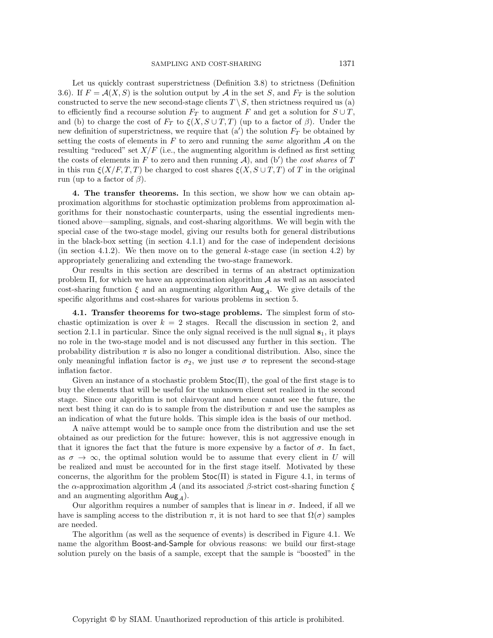Let us quickly contrast superstrictness (Definition 3.8) to strictness (Definition 3.6). If  $F = \mathcal{A}(X, S)$  is the solution output by  $\mathcal A$  in the set S, and  $F_T$  is the solution constructed to serve the new second-stage clients  $T \setminus S$ , then strictness required us (a) to efficiently find a recourse solution  $F_T$  to augment F and get a solution for  $S \cup T$ , and (b) to charge the cost of  $F_T$  to  $\xi(X, S \cup T, T)$  (up to a factor of  $\beta$ ). Under the new definition of superstrictness, we require that  $(a')$  the solution  $F_T$  be obtained by setting the costs of elements in  $F$  to zero and running the *same* algorithm  $A$  on the resulting "reduced" set  $X/F$  (i.e., the augmenting algorithm is defined as first setting the costs of elements in  $\overline{F}$  to zero and then running  $\overline{A}$ , and (b') the *cost shares* of  $\overline{T}$ in this run  $\xi(X/F, T, T)$  be charged to cost shares  $\xi(X, S \cup T, T)$  of T in the original run (up to a factor of  $\beta$ ).

**4. The transfer theorems.** In this section, we show how we can obtain approximation algorithms for stochastic optimization problems from approximation algorithms for their nonstochastic counterparts, using the essential ingredients mentioned above—sampling, signals, and cost-sharing algorithms. We will begin with the special case of the two-stage model, giving our results both for general distributions in the black-box setting (in section 4.1.1) and for the case of independent decisions (in section 4.1.2). We then move on to the general  $k$ -stage case (in section 4.2) by appropriately generalizing and extending the two-stage framework.

Our results in this section are described in terms of an abstract optimization problem  $\Pi$ , for which we have an approximation algorithm  $\mathcal A$  as well as an associated cost-sharing function  $\xi$  and an augmenting algorithm  $\text{Aug}_{\mathcal{A}}$ . We give details of the specific algorithms and cost-shares for various problems in section 5.

**4.1. Transfer theorems for two-stage problems.** The simplest form of stochastic optimization is over  $k = 2$  stages. Recall the discussion in section 2, and section 2.1.1 in particular. Since the only signal received is the null signal  $s<sub>1</sub>$ , it plays no role in the two-stage model and is not discussed any further in this section. The probability distribution  $\pi$  is also no longer a conditional distribution. Also, since the only meaningful inflation factor is  $\sigma_2$ , we just use  $\sigma$  to represent the second-stage inflation factor.

Given an instance of a stochastic problem  $\text{Stoc}(\Pi)$ , the goal of the first stage is to buy the elements that will be useful for the unknown client set realized in the second stage. Since our algorithm is not clairvoyant and hence cannot see the future, the next best thing it can do is to sample from the distribution  $\pi$  and use the samples as an indication of what the future holds. This simple idea is the basis of our method.

A naïve attempt would be to sample once from the distribution and use the set obtained as our prediction for the future: however, this is not aggressive enough in that it ignores the fact that the future is more expensive by a factor of  $\sigma$ . In fact, as  $\sigma \to \infty$ , the optimal solution would be to assume that every client in U will be realized and must be accounted for in the first stage itself. Motivated by these concerns, the algorithm for the problem  $Stoc(\Pi)$  is stated in Figure 4.1, in terms of the  $\alpha$ -approximation algorithm  $\mathcal A$  (and its associated  $\beta$ -strict cost-sharing function  $\xi$ and an augmenting algorithm  $\mathsf{Aug}_\mathcal{A}$ ).

Our algorithm requires a number of samples that is linear in  $\sigma$ . Indeed, if all we have is sampling access to the distribution  $\pi$ , it is not hard to see that  $\Omega(\sigma)$  samples are needed.

The algorithm (as well as the sequence of events) is described in Figure 4.1. We name the algorithm Boost-and-Sample for obvious reasons: we build our first-stage solution purely on the basis of a sample, except that the sample is "boosted" in the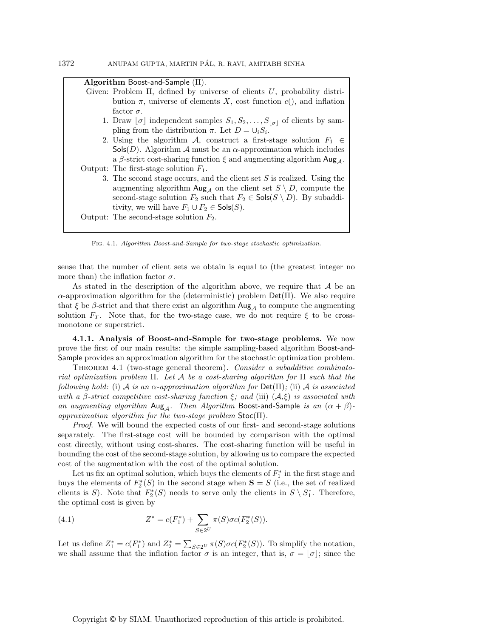

Fig. 4.1. Algorithm Boost-and-Sample for two-stage stochastic optimization.

sense that the number of client sets we obtain is equal to (the greatest integer no more than) the inflation factor  $\sigma$ .

As stated in the description of the algorithm above, we require that  $A$  be an α-approximation algorithm for the (deterministic) problem Det(Π). We also require that  $\xi$  be  $\beta$ -strict and that there exist an algorithm  $\mathsf{Aug}_A$  to compute the augmenting solution  $F_T$ . Note that, for the two-stage case, we do not require  $\xi$  to be crossmonotone or superstrict.

**4.1.1. Analysis of Boost-and-Sample for two-stage problems.** We now prove the first of our main results: the simple sampling-based algorithm Boost-and-Sample provides an approximation algorithm for the stochastic optimization problem.

Theorem 4.1 (two-stage general theorem). *Consider a subadditive combinatorial optimization problem* Π*. Let* A *be a cost-sharing algorithm for* Π *such that the following hold:* (i) A *is an*  $\alpha$ *-approximation algorithm for*  $Det(\Pi)$ *;* (ii) A *is associated with a* β*-strict competitive cost-sharing function* ξ*; and* (iii) (A*,*ξ) *is associated with an augmenting algorithm*  $\text{Aug}_{\mathcal{A}}$ *. Then Algorithm* Boost-and-Sample *is an*  $(\alpha + \beta)$ *approximation algorithm for the two-stage problem* Stoc(Π)*.*

*Proof*. We will bound the expected costs of our first- and second-stage solutions separately. The first-stage cost will be bounded by comparison with the optimal cost directly, without using cost-shares. The cost-sharing function will be useful in bounding the cost of the second-stage solution, by allowing us to compare the expected cost of the augmentation with the cost of the optimal solution.

Let us fix an optimal solution, which buys the elements of  $F_1^*$  in the first stage and buys the elements of  $F_2^*(S)$  in the second stage when **S** = S (i.e., the set of realized clients is S). Note that  $F_2^*(S)$  needs to serve only the clients in  $S \setminus S_1^*$ . Therefore, the optimal cost is given by

(4.1) 
$$
Z^* = c(F_1^*) + \sum_{S \in 2^U} \pi(S)\sigma c(F_2^*(S)).
$$

Let us define  $Z_1^* = c(F_1^*)$  and  $Z_2^* = \sum_{S \in 2^U} \pi(S) \sigma c(F_2^*(S))$ . To simplify the notation, we shall assume that the inflation factor  $\sigma$  is an integer, that is,  $\sigma = [\sigma]$ ; since the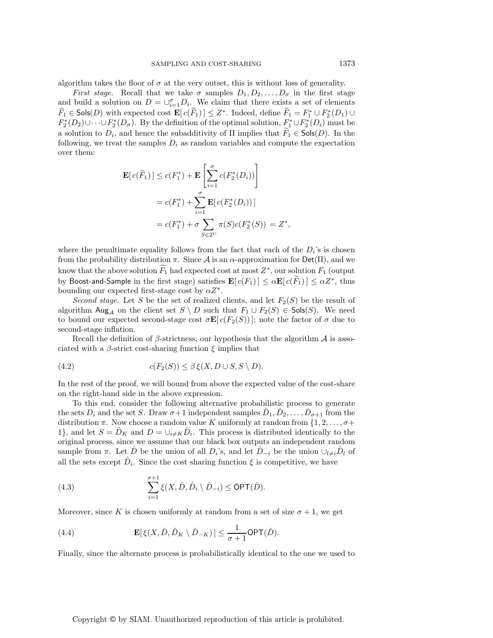algorithm takes the floor of  $\sigma$  at the very outset, this is without loss of generality.

*First stage.* Recall that we take  $\sigma$  samples  $D_1, D_2, \ldots, D_{\sigma}$  in the first stage and build a solution on  $D = \bigcup_{i=1}^{\sigma} D_i$ . We claim that there exists a set of elements  $\widetilde{F}_1 \in \mathsf{Sols}(D)$  with expected cost  $\mathbf{E}[c(\widetilde{F}_1)] \leq Z^*$ . Indeed, define  $\widetilde{F}_1 = F_1^* \cup F_2^*(D_1) \cup$  $F_2^*(D_2) \cup \cdots \cup F_2^*(D_{\sigma})$ . By the definition of the optimal solution,  $F_1^* \cup F_2^*(D_i)$  must be a solution to  $D_i$ , and hence the subadditivity of  $\Pi$  implies that  $F_1 \in \mathsf{Sols}(D)$ . In the following, we treat the samples  $D_i$  as random variables and compute the expectation over them:

$$
\mathbf{E}[c(\widetilde{F}_1)] \le c(F_1^*) + \mathbf{E}\left[\sum_{i=1}^{\sigma} c(F_2^*(D_i))\right]
$$
  
=  $c(F_1^*) + \sum_{i=1}^{\sigma} \mathbf{E}[c(F_2^*(D_i))]$   
=  $c(F_1^*) + \sigma \sum_{S \in 2^U} \pi(S)c(F_2^*(S)) = Z^*,$ 

where the penultimate equality follows from the fact that each of the  $D_i$ 's is chosen from the probability distribution  $\pi$ . Since A is an  $\alpha$ -approximation for Det( $\Pi$ ), and we know that the above solution  $\widetilde{F_1}$  had expected cost at most  $Z^*$ , our solution  $F_1$  (output by Boost-and-Sample in the first stage) satisfies  $\mathbf{E}[c(F_1)] \leq \alpha \mathbf{E}[c(\widetilde{F}_1)] \leq \alpha Z^*$ , thus bounding our expected first-stage cost by  $\alpha Z^*$ .

*Second stage.* Let S be the set of realized clients, and let  $F_2(S)$  be the result of algorithm Aug<sub>A</sub> on the client set  $S \setminus D$  such that  $F_1 \cup F_2(S) \in S$ ols(S). We need to bound our expected second-stage cost  $\sigma \mathbf{E}[c(F_2(S))]$ ; note the factor of  $\sigma$  due to second-stage inflation.

Recall the definition of  $\beta$ -strictness; our hypothesis that the algorithm  $\mathcal A$  is associated with a  $\beta$ -strict cost-sharing function  $\xi$  implies that

(4.2) 
$$
c(F_2(S)) \leq \beta \xi(X, D \cup S, S \setminus D).
$$

In the rest of the proof, we will bound from above the expected value of the cost-share on the right-hand side in the above expression.

To this end, consider the following alternative probabilistic process to generate the sets  $D_i$  and the set S. Draw  $\sigma+1$  independent samples  $\hat{D}_1, \hat{D}_2, \ldots, \hat{D}_{\sigma+1}$  from the distribution  $\pi$ . Now choose a random value K uniformly at random from  $\{1, 2, \ldots, \sigma+\}$ 1}, and let  $S = D_K$  and  $D = \bigcup_{i \neq K} D_i$ . This process is distributed identically to the original process, since we assume that our black box outputs an independent random sample from  $\pi$ . Let D be the union of all  $D_i$ 's, and let  $D_{-i}$  be the union  $\cup_{l\neq i}D_l$  of all the sets except  $\hat{D}_i$ . Since the cost sharing function  $\xi$  is competitive, we have

(4.3) 
$$
\sum_{i=1}^{\sigma+1} \xi(X, \hat{D}, \hat{D}_i \setminus \hat{D}_{-i}) \le \text{OPT}(\hat{D}).
$$

Moreover, since K is chosen uniformly at random from a set of size  $\sigma + 1$ , we get

(4.4) 
$$
\mathbf{E}[\xi(X,\hat{D},\hat{D}_K\setminus\hat{D}_{-K})] \leq \frac{1}{\sigma+1}\mathsf{OPT}(\hat{D}).
$$

Finally, since the alternate process is probabilistically identical to the one we used to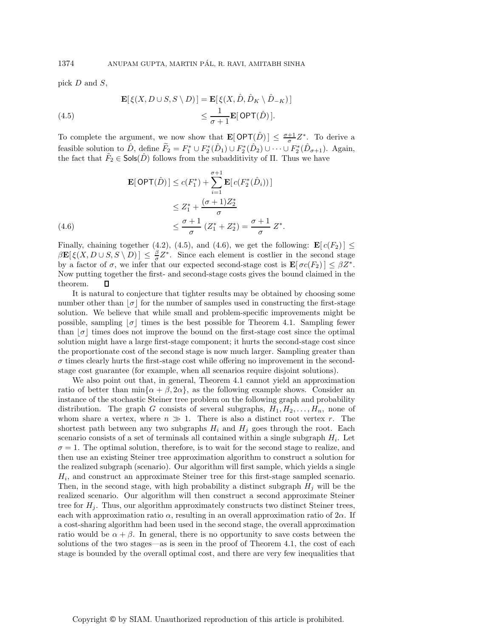pick  $D$  and  $S$ ,

(4.5)  
\n
$$
\mathbf{E}[\xi(X, D \cup S, S \setminus D)] = \mathbf{E}[\xi(X, \hat{D}, \hat{D}_K \setminus \hat{D}_{-K})]
$$
\n
$$
\leq \frac{1}{\sigma + 1} \mathbf{E}[\mathsf{OPT}(\hat{D})].
$$

To complete the argument, we now show that  $\mathbf{E}[\text{OPT}(\hat{D})] \leq \frac{\sigma+1}{\sigma}Z^*$ . To derive a feasible solution to  $\hat{D}$ , define  $\tilde{F}_2 = F_1^* \cup F_2^*(\hat{D}_1) \cup F_2^*(\hat{D}_2) \cup \cdots \cup F_2^*(\hat{D}_{\sigma+1})$ . Again, the fact that  $\tilde{F}_2 \in \mathsf{Sols}(\hat{D})$  follows from the subadditivity of  $\Pi$ . Thus we have

$$
\mathbf{E}[\text{OPT}(\hat{D})] \le c(F_1^*) + \sum_{i=1}^{\sigma+1} \mathbf{E}[c(F_2^*(\hat{D}_i))]
$$
  
\n
$$
\le Z_1^* + \frac{(\sigma+1)Z_2^*}{\sigma}
$$
  
\n
$$
\le \frac{\sigma+1}{\sigma} (Z_1^* + Z_2^*) = \frac{\sigma+1}{\sigma} Z^*.
$$

Finally, chaining together (4.2), (4.5), and (4.6), we get the following:  $\mathbf{E}[c(F_2)] \leq$  $\beta \mathbf{E}[\xi(X, D \cup S, S \setminus D)] \leq \frac{\beta}{\sigma} Z^*$ . Since each element is costlier in the second stage by a factor of  $\sigma$ , we infer that our expected second-stage cost is  $\mathbf{E}[\sigma c(F_2)] \leq \beta Z^*$ . Now putting together the first- and second-stage costs gives the bound claimed in the theorem. Л

It is natural to conjecture that tighter results may be obtained by choosing some number other than  $\lfloor \sigma \rfloor$  for the number of samples used in constructing the first-stage solution. We believe that while small and problem-specific improvements might be possible, sampling  $\lfloor \sigma \rfloor$  times is the best possible for Theorem 4.1. Sampling fewer than  $\sigma$  times does not improve the bound on the first-stage cost since the optimal solution might have a large first-stage component; it hurts the second-stage cost since the proportionate cost of the second stage is now much larger. Sampling greater than  $\sigma$  times clearly hurts the first-stage cost while offering no improvement in the secondstage cost guarantee (for example, when all scenarios require disjoint solutions).

We also point out that, in general, Theorem 4.1 cannot yield an approximation ratio of better than  $\min{\lbrace \alpha + \beta, 2\alpha \rbrace}$ , as the following example shows. Consider an instance of the stochastic Steiner tree problem on the following graph and probability distribution. The graph G consists of several subgraphs,  $H_1, H_2, \ldots, H_n$ , none of whom share a vertex, where  $n \gg 1$ . There is also a distinct root vertex r. The shortest path between any two subgraphs  $H_i$  and  $H_j$  goes through the root. Each scenario consists of a set of terminals all contained within a single subgraph  $H_i$ . Let  $\sigma = 1$ . The optimal solution, therefore, is to wait for the second stage to realize, and then use an existing Steiner tree approximation algorithm to construct a solution for the realized subgraph (scenario). Our algorithm will first sample, which yields a single  $H_i$ , and construct an approximate Steiner tree for this first-stage sampled scenario. Then, in the second stage, with high probability a distinct subgraph  $H_i$  will be the realized scenario. Our algorithm will then construct a second approximate Steiner tree for  $H_i$ . Thus, our algorithm approximately constructs two distinct Steiner trees, each with approximation ratio  $\alpha$ , resulting in an overall approximation ratio of  $2\alpha$ . If a cost-sharing algorithm had been used in the second stage, the overall approximation ratio would be  $\alpha + \beta$ . In general, there is no opportunity to save costs between the solutions of the two stages—as is seen in the proof of Theorem 4.1, the cost of each stage is bounded by the overall optimal cost, and there are very few inequalities that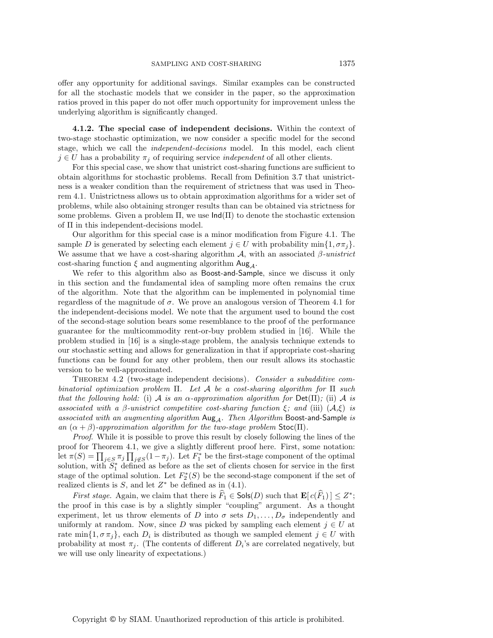offer any opportunity for additional savings. Similar examples can be constructed for all the stochastic models that we consider in the paper, so the approximation ratios proved in this paper do not offer much opportunity for improvement unless the underlying algorithm is significantly changed.

**4.1.2. The special case of independent decisions.** Within the context of two-stage stochastic optimization, we now consider a specific model for the second stage, which we call the *independent-decisions* model. In this model, each client  $j \in U$  has a probability  $\pi_j$  of requiring service *independent* of all other clients.

For this special case, we show that unistrict cost-sharing functions are sufficient to obtain algorithms for stochastic problems. Recall from Definition 3.7 that unistrictness is a weaker condition than the requirement of strictness that was used in Theorem 4.1. Unistrictness allows us to obtain approximation algorithms for a wider set of problems, while also obtaining stronger results than can be obtained via strictness for some problems. Given a problem  $\Pi$ , we use  $\text{Ind}(\Pi)$  to denote the stochastic extension of Π in this independent-decisions model.

Our algorithm for this special case is a minor modification from Figure 4.1. The sample D is generated by selecting each element  $j \in U$  with probability min{1,  $\sigma \pi_j$ }. We assume that we have a cost-sharing algorithm  $A$ , with an associated  $\beta$ -unistrict cost-sharing function  $\xi$  and augmenting algorithm Aug<sub>A</sub>.

We refer to this algorithm also as Boost-and-Sample, since we discuss it only in this section and the fundamental idea of sampling more often remains the crux of the algorithm. Note that the algorithm can be implemented in polynomial time regardless of the magnitude of  $\sigma$ . We prove an analogous version of Theorem 4.1 for the independent-decisions model. We note that the argument used to bound the cost of the second-stage solution bears some resemblance to the proof of the performance guarantee for the multicommodity rent-or-buy problem studied in [16]. While the problem studied in [16] is a single-stage problem, the analysis technique extends to our stochastic setting and allows for generalization in that if appropriate cost-sharing functions can be found for any other problem, then our result allows its stochastic version to be well-approximated.

Theorem 4.2 (two-stage independent decisions). *Consider a subadditive combinatorial optimization problem* Π*. Let* A *be a cost-sharing algorithm for* Π *such that the following hold:* (i) A *is an*  $\alpha$ -approximation algorithm for Det( $\Pi$ ); (ii) A *is associated with a* β*-unistrict competitive cost-sharing function* ξ*; and* (iii) (A*,*ξ) *is associated with an augmenting algorithm*  $\text{Aug}_A$ . Then Algorithm Boost-and-Sample is *an*  $(\alpha + \beta)$ *-approximation algorithm for the two-stage problem* Stoc( $\Pi$ )*.* 

*Proof*. While it is possible to prove this result by closely following the lines of the proof for Theorem 4.1, we give a slightly different proof here. First, some notation: let  $\pi(S) = \prod_{j \in S} \pi_j \prod_{j \notin S} (1 - \pi_j)$ . Let  $F_1^*$  be the first-stage component of the optimal solution, with  $S_1^*$  defined as before as the set of clients chosen for service in the first stage of the optimal solution. Let  $F_2^*(S)$  be the second-stage component if the set of realized clients is  $S$ , and let  $Z^*$  be defined as in (4.1).

*First stage.* Again, we claim that there is  $\hat{F}_1 \in \mathsf{Sols}(D)$  such that  $\mathbf{E}[c(\hat{F}_1)] \leq Z^*$ ; the proof in this case is by a slightly simpler "coupling" argument. As a thought experiment, let us throw elements of D into  $\sigma$  sets  $D_1, \ldots, D_{\sigma}$  independently and uniformly at random. Now, since D was picked by sampling each element  $j \in U$  at rate min $\{1,\sigma\pi_i\}$ , each  $D_i$  is distributed as though we sampled element  $j \in U$  with probability at most  $\pi_i$ . (The contents of different  $D_i$ 's are correlated negatively, but we will use only linearity of expectations.)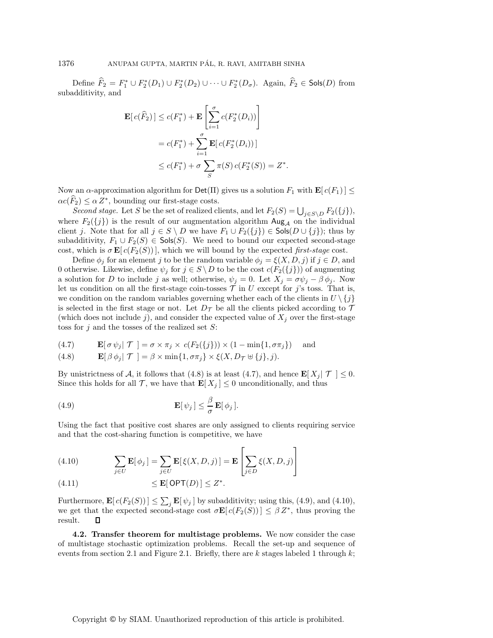Define  $\widehat{F}_2 = F_1^* \cup F_2^*(D_1) \cup F_2^*(D_2) \cup \cdots \cup F_2^*(D_{\sigma})$ . Again,  $\widehat{F}_2 \in \mathsf{Sols}(D)$  from subadditivity, and

$$
\mathbf{E}[c(\widehat{F}_2)] \le c(F_1^*) + \mathbf{E} \left[ \sum_{i=1}^{\sigma} c(F_2^*(D_i)) \right]
$$
  
=  $c(F_1^*) + \sum_{i=1}^{\sigma} \mathbf{E}[c(F_2^*(D_i))]$   
 $\le c(F_1^*) + \sigma \sum_{S} \pi(S) c(F_2^*(S)) = Z^*.$ 

Now an  $\alpha$ -approximation algorithm for  $Det(\Pi)$  gives us a solution  $F_1$  with  $\mathbf{E}[c(F_1)] \leq$  $\alpha c(F_2) \leq \alpha Z^*$ , bounding our first-stage costs.

*Second stage.* Let S be the set of realized clients, and let  $F_2(S) = \bigcup_{j \in S \setminus D} F_2(\{j\}),$ where  $F_2({j})$  is the result of our augmentation algorithm  $\mathsf{Aug}_\mathcal{A}$  on the individual client j. Note that for all  $j \in S \setminus D$  we have  $F_1 \cup F_2({j}) \in \mathsf{Sols}(D \cup {j})$ ; thus by subadditivity,  $F_1 \cup F_2(S) \in \mathsf{Sols}(S)$ . We need to bound our expected second-stage cost, which is  $\sigma \mathbf{E}[c(F_2(S))]$ , which we will bound by the expected *first-stage* cost.

Define  $\phi_j$  for an element j to be the random variable  $\phi_j = \xi(X, D, j)$  if  $j \in D$ , and 0 otherwise. Likewise, define  $\psi_j$  for  $j \in S \backslash D$  to be the cost  $c(F_2({j}))$  of augmenting a solution for D to include j as well; otherwise,  $\psi_j = 0$ . Let  $X_j = \sigma \psi_j - \beta \phi_j$ . Now let us condition on all the first-stage coin-tosses  $\mathcal T$  in  $U$  except for j's toss. That is, we condition on the random variables governing whether each of the clients in  $U \setminus \{j\}$ is selected in the first stage or not. Let  $D_{\mathcal{T}}$  be all the clients picked according to  $\mathcal{T}$ (which does not include j), and consider the expected value of  $X_j$  over the first-stage toss for  $j$  and the tosses of the realized set  $S$ :

(4.7) 
$$
\mathbf{E}[\sigma \psi_j | \mathcal{T}] = \sigma \times \pi_j \times c(F_2(\{j\})) \times (1 - \min\{1, \sigma \pi_j\}) \text{ and}
$$

(4.8) 
$$
\mathbf{E}[\beta \phi_j | \mathcal{T}] = \beta \times \min\{1, \sigma \pi_j\} \times \xi(X, D_{\mathcal{T}} \uplus \{j\}, j).
$$

By unistrictness of A, it follows that (4.8) is at least (4.7), and hence  $\mathbf{E}[X_i | \mathcal{T}] < 0$ . Since this holds for all  $\mathcal{T}$ , we have that  $\mathbf{E}[X_j] \leq 0$  unconditionally, and thus

(4.9) 
$$
\mathbf{E}[\psi_j] \leq \frac{\beta}{\sigma} \mathbf{E}[\phi_j].
$$

Using the fact that positive cost shares are only assigned to clients requiring service and that the cost-sharing function is competitive, we have

(4.10) 
$$
\sum_{j\in U} \mathbf{E}[\phi_j] = \sum_{j\in U} \mathbf{E}[\xi(X, D, j)] = \mathbf{E}\left[\sum_{j\in D} \xi(X, D, j)\right]
$$

(4.11) 
$$
\leq \mathbf{E}[\text{OPT}(D)] \leq Z^*.
$$

Furthermore,  $\mathbf{E}[c(F_2(S))] \leq \sum_j \mathbf{E}[\psi_j]$  by subadditivity; using this, (4.9), and (4.10), we get that the expected second-stage cost  $\sigma \mathbf{E}[c(F_2(S))] \leq \beta Z^*$ , thus proving the result. П

**4.2. Transfer theorem for multistage problems.** We now consider the case of multistage stochastic optimization problems. Recall the set-up and sequence of events from section 2.1 and Figure 2.1. Briefly, there are  $k$  stages labeled 1 through  $k$ ;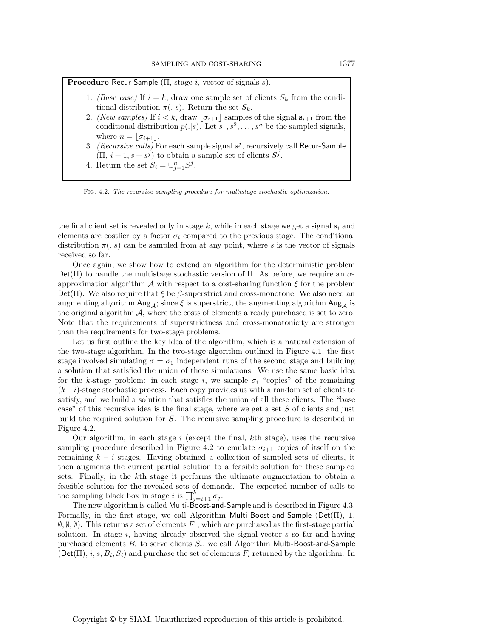- conditional distribution  $p(.|s)$ . Let  $s^1, s^2, \ldots, s^n$  be the sampled signals, where  $n = \lfloor \sigma_{i+1} \rfloor$ .
- 3. *(Recursive calls)* For each sample signal  $s^j$ , recursively call Recur-Sample  $(\Pi, i+1, s+s^j)$  to obtain a sample set of clients  $S^j$ .
- 4. Return the set  $S_i = \bigcup_{j=1}^n S^j$ .

Fig. 4.2. The recursive sampling procedure for multistage stochastic optimization.

the final client set is revealed only in stage  $k$ , while in each stage we get a signal  $s_i$  and elements are costlier by a factor  $\sigma_i$  compared to the previous stage. The conditional distribution  $\pi(.|s)$  can be sampled from at any point, where s is the vector of signals received so far.

Once again, we show how to extend an algorithm for the deterministic problem  $Det(\Pi)$  to handle the multistage stochastic version of  $\Pi$ . As before, we require an  $\alpha$ approximation algorithm A with respect to a cost-sharing function  $\xi$  for the problem Det(Π). We also require that  $\xi$  be  $\beta$ -superstrict and cross-monotone. We also need an augmenting algorithm Aug<sub>4</sub>; since  $\xi$  is superstrict, the augmenting algorithm Aug<sub>4</sub> is the original algorithm  $\mathcal{A}$ , where the costs of elements already purchased is set to zero. Note that the requirements of superstrictness and cross-monotonicity are stronger than the requirements for two-stage problems.

Let us first outline the key idea of the algorithm, which is a natural extension of the two-stage algorithm. In the two-stage algorithm outlined in Figure 4.1, the first stage involved simulating  $\sigma = \sigma_1$  independent runs of the second stage and building a solution that satisfied the union of these simulations. We use the same basic idea for the k-stage problem: in each stage i, we sample  $\sigma_i$  "copies" of the remaining  $(k-i)$ -stage stochastic process. Each copy provides us with a random set of clients to satisfy, and we build a solution that satisfies the union of all these clients. The "base case" of this recursive idea is the final stage, where we get a set  $S$  of clients and just build the required solution for S. The recursive sampling procedure is described in Figure 4.2.

Our algorithm, in each stage  $i$  (except the final,  $k$ th stage), uses the recursive sampling procedure described in Figure 4.2 to emulate  $\sigma_{i+1}$  copies of itself on the remaining  $k - i$  stages. Having obtained a collection of sampled sets of clients, it then augments the current partial solution to a feasible solution for these sampled sets. Finally, in the kth stage it performs the ultimate augmentation to obtain a feasible solution for the revealed sets of demands. The expected number of calls to the sampling black box in stage i is  $\prod_{j=i+1}^{k} \sigma_j$ .

The new algorithm is called Multi-Boost-and-Sample and is described in Figure 4.3. Formally, in the first stage, we call Algorithm Multi-Boost-and-Sample ( $Det(\Pi)$ , 1,  $(0, 0, 0)$ . This returns a set of elements  $F_1$ , which are purchased as the first-stage partial solution. In stage  $i$ , having already observed the signal-vector  $s$  so far and having purchased elements  $B_i$  to serve clients  $S_i$ , we call Algorithm Multi-Boost-and-Sample  $(\text{Det}(\Pi), i, s, B_i, S_i)$  and purchase the set of elements  $F_i$  returned by the algorithm. In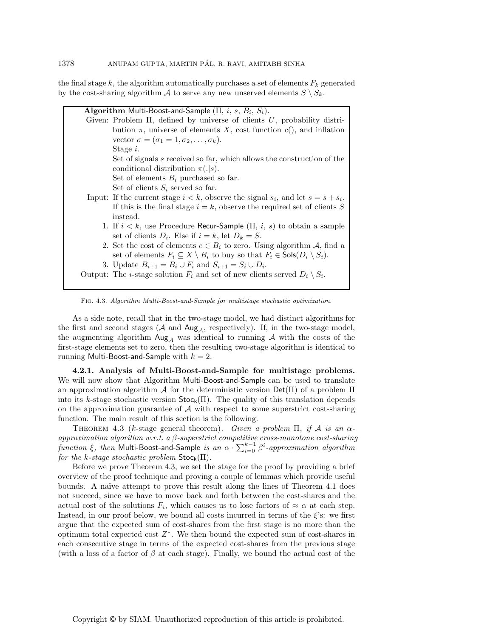the final stage  $k$ , the algorithm automatically purchases a set of elements  $F_k$  generated by the cost-sharing algorithm A to serve any new unserved elements  $S \setminus S_k$ .

| <b>Algorithm Multi-Boost-and-Sample</b> $(\Pi, i, s, B_i, S_i)$ .                                           |  |
|-------------------------------------------------------------------------------------------------------------|--|
| Given: Problem II, defined by universe of clients $U$ , probability distri-                                 |  |
| bution $\pi$ , universe of elements X, cost function $c($ ), and inflation                                  |  |
| vector $\sigma = (\sigma_1 = 1, \sigma_2, \ldots, \sigma_k).$                                               |  |
| Stage $i$ .                                                                                                 |  |
| Set of signals s received so far, which allows the construction of the                                      |  |
| conditional distribution $\pi(. s)$ .                                                                       |  |
| Set of elements $B_i$ purchased so far.                                                                     |  |
| Set of clients $S_i$ served so far.                                                                         |  |
| Input: If the current stage $i < k$ , observe the signal $s_i$ , and let $s = s + s_i$ .                    |  |
| If this is the final stage $i = k$ , observe the required set of clients S                                  |  |
| instead.                                                                                                    |  |
| 1. If $i < k$ , use Procedure Recur-Sample $(\Pi, i, s)$ to obtain a sample                                 |  |
| set of clients $D_i$ . Else if $i = k$ , let $D_k = S$ .                                                    |  |
| 2. Set the cost of elements $e \in B_i$ to zero. Using algorithm A, find a                                  |  |
| set of elements $F_i \subseteq X \setminus B_i$ to buy so that $F_i \in \mathsf{Sols}(D_i \setminus S_i)$ . |  |
| 3. Update $B_{i+1} = B_i \cup F_i$ and $S_{i+1} = S_i \cup D_i$ .                                           |  |
| Output: The <i>i</i> -stage solution $F_i$ and set of new clients served $D_i \setminus S_i$ .              |  |
|                                                                                                             |  |

Fig. 4.3. Algorithm Multi-Boost-and-Sample for multistage stochastic optimization.

As a side note, recall that in the two-stage model, we had distinct algorithms for the first and second stages ( $A$  and  $\text{Aug}_A$ , respectively). If, in the two-stage model, the augmenting algorithm  $\text{Aug}_A$  was identical to running A with the costs of the first-stage elements set to zero, then the resulting two-stage algorithm is identical to running Multi-Boost-and-Sample with  $k = 2$ .

**4.2.1. Analysis of Multi-Boost-and-Sample for multistage problems.** We will now show that Algorithm Multi-Boost-and-Sample can be used to translate an approximation algorithm  $\mathcal A$  for the deterministic version  $Det(\Pi)$  of a problem  $\Pi$ into its k-stage stochastic version  $\text{Stoc}_k(\Pi)$ . The quality of this translation depends on the approximation guarantee of  $A$  with respect to some superstrict cost-sharing function. The main result of this section is the following.

THEOREM 4.3 (k-stage general theorem). *Given a problem*  $\Pi$ , if A is an  $\alpha$ *approximation algorithm w.r.t. a* β*-superstrict competitive cross-monotone cost-sharing function*  $\xi$ , *then* Multi-Boost-and-Sample *is an*  $\alpha \cdot \sum_{i=0}^{k-1} \beta^i$ -approximation algorithm *for the k-stage stochastic problem*  $\text{Stoc}_k(\Pi)$ *.* 

Before we prove Theorem 4.3, we set the stage for the proof by providing a brief overview of the proof technique and proving a couple of lemmas which provide useful bounds. A naïve attempt to prove this result along the lines of Theorem 4.1 does not succeed, since we have to move back and forth between the cost-shares and the actual cost of the solutions  $F_i$ , which causes us to lose factors of  $\approx \alpha$  at each step. Instead, in our proof below, we bound all costs incurred in terms of the  $\xi$ 's: we first argue that the expected sum of cost-shares from the first stage is no more than the optimum total expected cost  $Z^*$ . We then bound the expected sum of cost-shares in each consecutive stage in terms of the expected cost-shares from the previous stage (with a loss of a factor of  $\beta$  at each stage). Finally, we bound the actual cost of the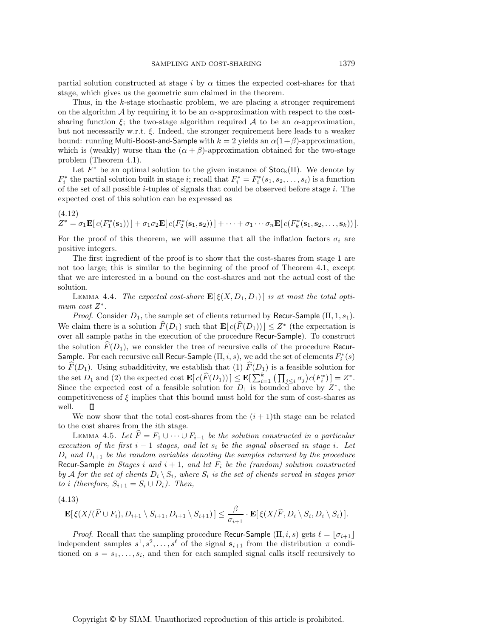partial solution constructed at stage  $i$  by  $\alpha$  times the expected cost-shares for that stage, which gives us the geometric sum claimed in the theorem.

Thus, in the  $k$ -stage stochastic problem, we are placing a stronger requirement on the algorithm  $\mathcal A$  by requiring it to be an  $\alpha$ -approximation with respect to the costsharing function  $\xi$ ; the two-stage algorithm required A to be an  $\alpha$ -approximation, but not necessarily w.r.t.  $\xi$ . Indeed, the stronger requirement here leads to a weaker bound: running Multi-Boost-and-Sample with  $k = 2$  yields an  $\alpha(1+\beta)$ -approximation, which is (weakly) worse than the  $(\alpha + \beta)$ -approximation obtained for the two-stage problem (Theorem 4.1).

Let  $F^*$  be an optimal solution to the given instance of  $\text{Stoc}_k(\Pi)$ . We denote by  $F_i^*$  the partial solution built in stage i; recall that  $F_i^* = F_i^*(s_1, s_2, \ldots, s_i)$  is a function of the set of all possible  $i$ -tuples of signals that could be observed before stage  $i$ . The expected cost of this solution can be expressed as

$$
(4.12)
$$
  

$$
Z^* = \sigma_1 \mathbf{E} [c(F_1^*(s_1))] + \sigma_1 \sigma_2 \mathbf{E} [c(F_2^*(s_1, s_2))] + \cdots + \sigma_1 \cdots \sigma_n \mathbf{E} [c(F_k^*(s_1, s_2, \ldots, s_k))].
$$

For the proof of this theorem, we will assume that all the inflation factors  $\sigma_i$  are positive integers.

The first ingredient of the proof is to show that the cost-shares from stage 1 are not too large; this is similar to the beginning of the proof of Theorem 4.1, except that we are interested in a bound on the cost-shares and not the actual cost of the solution.

LEMMA 4.4. *The expected cost-share*  $\mathbf{E}[\xi(X, D_1, D_1)]$  *is at most the total optimum* cost  $Z^*$ .

*Proof.* Consider  $D_1$ , the sample set of clients returned by Recur-Sample  $(\Pi, 1, s_1)$ . We claim there is a solution  $\widehat{F}(D_1)$  such that  $\mathbf{E}[c(\widehat{F}(D_1))] \leq Z^*$  (the expectation is over all sample paths in the execution of the procedure Recur-Sample). To construct the solution  $\widehat{F}(D_1)$ , we consider the tree of recursive calls of the procedure Recur-Sample. For each recursive call Recur-Sample  $(\Pi, i, s)$ , we add the set of elements  $F_i^*(s)$ to  $\widehat{F}(D_1)$ . Using subadditivity, we establish that (1)  $\widehat{F}(D_1)$  is a feasible solution for the set  $D_1$  and (2) the expected cost  $\mathbf{E}[c(\widehat{F}(D_1))] \leq \mathbf{E}[\sum_{i=1}^k (\prod_{j \leq i} \sigma_j) c(F_i^*)] = Z^*$ . Since the expected cost of a feasible solution for  $D_1$  is bounded above by  $Z^*$ , the competitiveness of  $\xi$  implies that this bound must hold for the sum of cost-shares as well.  $\Box$ 

We now show that the total cost-shares from the  $(i + 1)$ th stage can be related to the cost shares from the ith stage.

LEMMA 4.5. Let  $\widehat{F} = F_1 \cup \cdots \cup F_{i-1}$  be the solution constructed in a particular *execution of the first*  $i - 1$  *stages, and let*  $s_i$  *be the signal observed in stage i. Let*  $D_i$  and  $D_{i+1}$  be the random variables denoting the samples returned by the procedure Recur-Sample *in Stages i* and  $i + 1$ , and let  $F_i$  be the (random) solution constructed *by* A *for the set of clients*  $D_i \setminus S_i$ *, where*  $S_i$  *is the set of clients served in stages prior*  $to$  *i* (therefore,  $S_{i+1} = S_i \cup D_i$ ). Then,

$$
(4.13)
$$

$$
\mathbf{E}[\xi(X/(\widehat{F}\cup F_i), D_{i+1}\setminus S_{i+1}, D_{i+1}\setminus S_{i+1})] \leq \frac{\beta}{\sigma_{i+1}} \cdot \mathbf{E}[\xi(X/\widehat{F}, D_i\setminus S_i, D_i\setminus S_i)].
$$

*Proof.* Recall that the sampling procedure Recur-Sample  $(\Pi, i, s)$  gets  $\ell = [\sigma_{i+1}]$ independent samples  $s^1, s^2, \ldots, s^\ell$  of the signal  $s_{i+1}$  from the distribution  $\pi$  conditioned on  $s = s_1, \ldots, s_i$ , and then for each sampled signal calls itself recursively to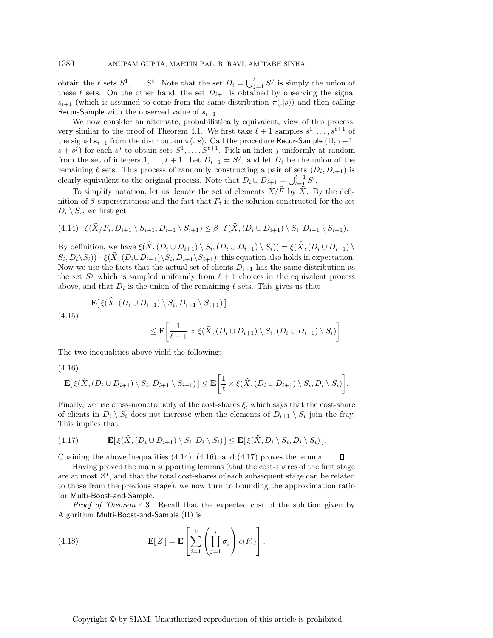obtain the  $\ell$  sets  $S^1, \ldots, S^{\ell}$ . Note that the set  $D_i = \bigcup_{j=1}^{\ell} S^j$  is simply the union of these  $\ell$  sets. On the other hand, the set  $D_{i+1}$  is obtained by observing the signal  $s_{i+1}$  (which is assumed to come from the same distribution  $\pi(.|s)$ ) and then calling Recur-Sample with the observed value of  $s_{i+1}$ .

We now consider an alternate, probabilistically equivalent, view of this process, very similar to the proof of Theorem 4.1. We first take  $\ell + 1$  samples  $s^1, \ldots, s^{\ell+1}$  of the signal  $s_{i+1}$  from the distribution  $\pi(.|s)$ . Call the procedure Recur-Sample ( $\Pi$ ,  $i+1$ ,  $s + s^j$  for each  $s^j$  to obtain sets  $S^1, \ldots, S^{\ell+1}$ . Pick an index j uniformly at random from the set of integers  $1,\ldots,\ell+1$ . Let  $D_{i+1} = S^j$ , and let  $D_i$  be the union of the remaining  $\ell$  sets. This process of randomly constructing a pair of sets  $(D_i, D_{i+1})$  is clearly equivalent to the original process. Note that  $D_i \cup D_{i+1} = \bigcup_{l=1}^{\ell+1} S^l$ .

To simplify notation, let us denote the set of elements  $X/\widehat{F}$  by  $\widehat{X}$ . By the definition of  $\beta$ -superstrictness and the fact that  $F_i$  is the solution constructed for the set  $D_i \setminus S_i$ , we first get

$$
(4.14) \ \ \xi(\widehat{X}/F_i, D_{i+1} \setminus S_{i+1}, D_{i+1} \setminus S_{i+1}) \leq \beta \cdot \xi(\widehat{X}, (D_i \cup D_{i+1}) \setminus S_i, D_{i+1} \setminus S_{i+1}).
$$

By definition, we have  $\xi(\widehat{X}, (D_i \cup D_{i+1}) \setminus S_i, (D_i \cup D_{i+1}) \setminus S_i)) = \xi(\widehat{X}, (D_i \cup D_{i+1}) \setminus S_i)$  $(S_i, D_i \setminus S_i)) + \xi(\widehat{X}, (D_i \cup D_{i+1}) \setminus S_i, D_{i+1} \setminus S_{i+1});$  this equation also holds in expectation. Now we use the facts that the actual set of clients  $D_{i+1}$  has the same distribution as the set  $S^j$  which is sampled uniformly from  $\ell + 1$  choices in the equivalent process above, and that  $D_i$  is the union of the remaining  $\ell$  sets. This gives us that

$$
\mathbf{E}[\xi(\widehat{X},(D_i \cup D_{i+1}) \setminus S_i,D_{i+1} \setminus S_{i+1})]
$$

(4.15)

$$
\leq \mathbf{E}\bigg[\frac{1}{\ell+1}\times \xi(\widehat{X},(D_i\cup D_{i+1})\setminus S_i,(D_i\cup D_{i+1})\setminus S_i)\bigg].
$$

The two inequalities above yield the following:

(4.16)

$$
\mathbf{E}[\xi(\widehat{X},(D_i\cup D_{i+1})\setminus S_i,D_{i+1}\setminus S_{i+1})] \leq \mathbf{E}\bigg[\frac{1}{\ell}\times\xi(\widehat{X},(D_i\cup D_{i+1})\setminus S_i,D_i\setminus S_i)\bigg].
$$

Finally, we use cross-monotonicity of the cost-shares  $\xi$ , which says that the cost-share of clients in  $D_i \setminus S_i$  does not increase when the elements of  $D_{i+1} \setminus S_i$  join the fray. This implies that

$$
(4.17) \qquad \mathbf{E}[\xi(\widehat{X},(D_i\cup D_{i+1})\setminus S_i,D_i\setminus S_i)] \leq \mathbf{E}[\xi(\widehat{X},D_i\setminus S_i,D_i\setminus S_i)].
$$

Chaining the above inequalities  $(4.14)$ ,  $(4.16)$ , and  $(4.17)$  proves the lemma.  $\Box$ 

Having proved the main supporting lemmas (that the cost-shares of the first stage are at most Z∗, and that the total cost-shares of each subsequent stage can be related to those from the previous stage), we now turn to bounding the approximation ratio for Multi-Boost-and-Sample.

*Proof of Theorem* 4.3. Recall that the expected cost of the solution given by Algorithm Multi-Boost-and-Sample  $(\Pi)$  is

(4.18) 
$$
\mathbf{E}[Z] = \mathbf{E}\left[\sum_{i=1}^{k} \left(\prod_{j=1}^{i} \sigma_j\right) c(F_i)\right].
$$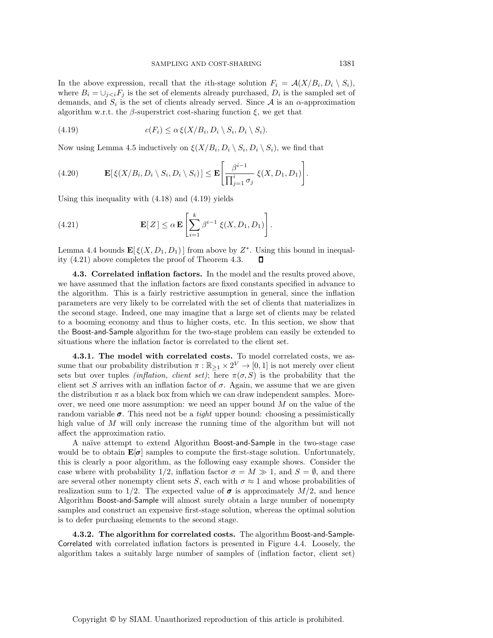In the above expression, recall that the *i*th-stage solution  $F_i = \mathcal{A}(X/B_i, D_i \setminus S_i)$ , where  $B_i = \bigcup_{j \leq i} F_j$  is the set of elements already purchased,  $D_i$  is the sampled set of demands, and  $S_i$  is the set of clients already served. Since A is an  $\alpha$ -approximation algorithm w.r.t. the  $\beta$ -superstrict cost-sharing function  $\xi$ , we get that

(4.19) 
$$
c(F_i) \leq \alpha \xi(X/B_i, D_i \setminus S_i, D_i \setminus S_i).
$$

Now using Lemma 4.5 inductively on  $\xi(X/B_i, D_i \setminus S_i, D_i \setminus S_i)$ , we find that

(4.20) 
$$
\mathbf{E}[\xi(X/B_i, D_i \setminus S_i, D_i \setminus S_i)] \leq \mathbf{E} \Bigg[ \frac{\beta^{i-1}}{\prod_{j=1}^i \sigma_j} \xi(X, D_1, D_1) \Bigg].
$$

Using this inequality with (4.18) and (4.19) yields

(4.21) 
$$
\mathbf{E}[Z] \leq \alpha \mathbf{E} \left[ \sum_{i=1}^{k} \beta^{i-1} \xi(X, D_1, D_1) \right].
$$

Lemma 4.4 bounds  $\mathbf{E}[\xi(X, D_1, D_1)]$  from above by  $Z^*$ . Using this bound in inequality (4.21) above completes the proof of Theorem 4.3. П

**4.3. Correlated inflation factors.** In the model and the results proved above, we have assumed that the inflation factors are fixed constants specified in advance to the algorithm. This is a fairly restrictive assumption in general, since the inflation parameters are very likely to be correlated with the set of clients that materializes in the second stage. Indeed, one may imagine that a large set of clients may be related to a booming economy and thus to higher costs, etc. In this section, we show that the Boost-and-Sample algorithm for the two-stage problem can easily be extended to situations where the inflation factor is correlated to the client set.

**4.3.1. The model with correlated costs.** To model correlated costs, we assume that our probability distribution  $\pi : \mathbb{R}_{\geq 1} \times 2^V \to [0, 1]$  is not merely over client sets but over tuples *(inflation, client set)*; here  $\pi(\sigma, S)$  is the probability that the client set S arrives with an inflation factor of  $\sigma$ . Again, we assume that we are given the distribution  $\pi$  as a black box from which we can draw independent samples. Moreover, we need one more assumption: we need an upper bound  $M$  on the value of the random variable  $\sigma$ . This need not be a *tight* upper bound: choosing a pessimistically high value of M will only increase the running time of the algorithm but will not affect the approximation ratio.

A na¨ıve attempt to extend Algorithm Boost-and-Sample in the two-stage case would be to obtain  $\mathbf{E}[\sigma]$  samples to compute the first-stage solution. Unfortunately, this is clearly a poor algorithm, as the following easy example shows. Consider the case where with probability 1/2, inflation factor  $\sigma = M \gg 1$ , and  $S = \emptyset$ , and there are several other nonempty client sets S, each with  $\sigma \approx 1$  and whose probabilities of realization sum to 1/2. The expected value of  $\sigma$  is approximately  $M/2$ , and hence Algorithm Boost-and-Sample will almost surely obtain a large number of nonempty samples and construct an expensive first-stage solution, whereas the optimal solution is to defer purchasing elements to the second stage.

**4.3.2. The algorithm for correlated costs.** The algorithm Boost-and-Sample-Correlated with correlated inflation factors is presented in Figure 4.4. Loosely, the algorithm takes a suitably large number of samples of (inflation factor, client set)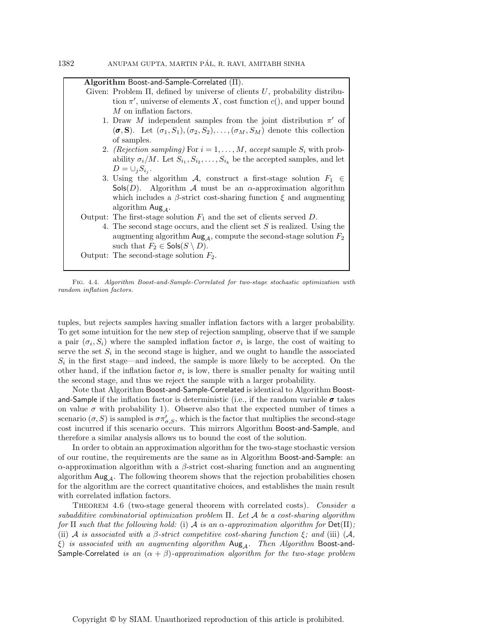

Fig. 4.4. Algorithm Boost-and-Sample-Correlated for two-stage stochastic optimization with random inflation factors.

tuples, but rejects samples having smaller inflation factors with a larger probability. To get some intuition for the new step of rejection sampling, observe that if we sample a pair  $(\sigma_i, S_i)$  where the sampled inflation factor  $\sigma_i$  is large, the cost of waiting to serve the set  $S_i$  in the second stage is higher, and we ought to handle the associated  $S_i$  in the first stage—and indeed, the sample is more likely to be accepted. On the other hand, if the inflation factor  $\sigma_i$  is low, there is smaller penalty for waiting until the second stage, and thus we reject the sample with a larger probability.

Note that Algorithm Boost-and-Sample-Correlated is identical to Algorithm Boostand-Sample if the inflation factor is deterministic (i.e., if the random variable  $\sigma$  takes on value  $\sigma$  with probability 1). Observe also that the expected number of times a scenario  $(\sigma, S)$  is sampled is  $\sigma \pi'_{\sigma, S}$ , which is the factor that multiplies the second-stage cost incurred if this scenario occurs. This mirrors Algorithm Boost-and-Sample, and therefore a similar analysis allows us to bound the cost of the solution.

In order to obtain an approximation algorithm for the two-stage stochastic version of our routine, the requirements are the same as in Algorithm Boost-and-Sample: an α-approximation algorithm with a β-strict cost-sharing function and an augmenting algorithm  $\text{Aug}_\mathcal{A}$ . The following theorem shows that the rejection probabilities chosen for the algorithm are the correct quantitative choices, and establishes the main result with correlated inflation factors.

Theorem 4.6 (two-stage general theorem with correlated costs). *Consider a subadditive combinatorial optimization problem* Π*. Let* A *be a cost-sharing algorithm for*  $\Pi$  *such that the following hold:* (i) A *is an*  $\alpha$ -*approximation algorithm for*  $Det(\Pi)$ ; (ii) A *is associated with a*  $\beta$ -strict competitive cost-sharing function  $\xi$ ; and (iii)  $(\mathcal{A},$ ξ) *is associated with an augmenting algorithm* Aug<sub>A</sub>. Then Algorithm Boost-and-Sample-Correlated *is an*  $(\alpha + \beta)$ -*approximation algorithm for the two-stage problem*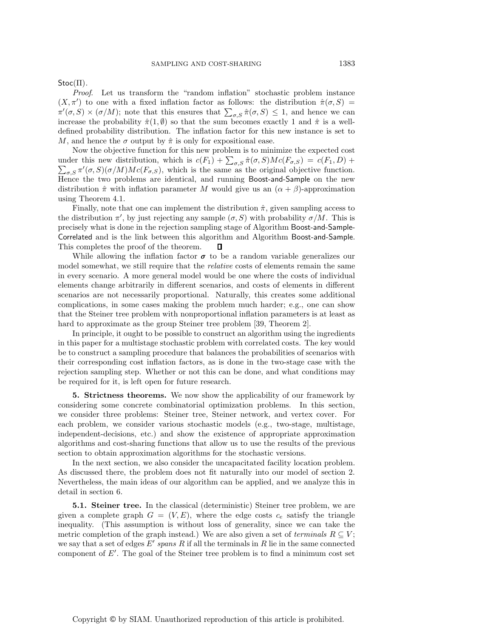Stoc(Π)*.*

*Proof*. Let us transform the "random inflation" stochastic problem instance  $(X, \pi')$  to one with a fixed inflation factor as follows: the distribution  $\hat{\pi}(\sigma, S)$  $\pi'(\sigma, S) \times (\sigma/M)$ ; note that this ensures that  $\sum_{\sigma, S} \hat{\pi}(\sigma, S) \leq 1$ , and hence we can increase the probability  $\hat{\pi}(1, \emptyset)$  so that the sum becomes exactly 1 and  $\hat{\pi}$  is a welldefined probability distribution. The inflation factor for this new instance is set to M, and hence the  $\sigma$  output by  $\hat{\pi}$  is only for expositional ease.

Now the objective function for this new problem is to minimize the expected cost under this new distribution, which is  $c(F_1) + \sum_{\sigma,S} \hat{\pi}(\sigma,S)Mc(F_{\sigma,S}) = c(F_1, D) +$  $\sum_{\sigma, S} \pi'(\sigma, S)(\sigma/M)Mc(F_{\sigma, S})$ , which is the same as the original objective function. Hence the two problems are identical, and running Boost-and-Sample on the new distribution  $\hat{\pi}$  with inflation parameter M would give us an  $(\alpha + \beta)$ -approximation using Theorem 4.1.

Finally, note that one can implement the distribution  $\hat{\pi}$ , given sampling access to the distribution  $\pi'$ , by just rejecting any sample  $(\sigma, S)$  with probability  $\sigma/M$ . This is precisely what is done in the rejection sampling stage of Algorithm Boost-and-Sample-Correlated and is the link between this algorithm and Algorithm Boost-and-Sample. This completes the proof of the theorem.  $\Box$ 

While allowing the inflation factor  $\sigma$  to be a random variable generalizes our model somewhat, we still require that the *relative* costs of elements remain the same in every scenario. A more general model would be one where the costs of individual elements change arbitrarily in different scenarios, and costs of elements in different scenarios are not necessarily proportional. Naturally, this creates some additional complications, in some cases making the problem much harder; e.g., one can show that the Steiner tree problem with nonproportional inflation parameters is at least as hard to approximate as the group Steiner tree problem [39, Theorem 2].

In principle, it ought to be possible to construct an algorithm using the ingredients in this paper for a multistage stochastic problem with correlated costs. The key would be to construct a sampling procedure that balances the probabilities of scenarios with their corresponding cost inflation factors, as is done in the two-stage case with the rejection sampling step. Whether or not this can be done, and what conditions may be required for it, is left open for future research.

**5. Strictness theorems.** We now show the applicability of our framework by considering some concrete combinatorial optimization problems. In this section, we consider three problems: Steiner tree, Steiner network, and vertex cover. For each problem, we consider various stochastic models (e.g., two-stage, multistage, independent-decisions, etc.) and show the existence of appropriate approximation algorithms and cost-sharing functions that allow us to use the results of the previous section to obtain approximation algorithms for the stochastic versions.

In the next section, we also consider the uncapacitated facility location problem. As discussed there, the problem does not fit naturally into our model of section 2. Nevertheless, the main ideas of our algorithm can be applied, and we analyze this in detail in section 6.

**5.1. Steiner tree.** In the classical (deterministic) Steiner tree problem, we are given a complete graph  $G = (V, E)$ , where the edge costs  $c_e$  satisfy the triangle inequality. (This assumption is without loss of generality, since we can take the metric completion of the graph instead.) We are also given a set of *terminals*  $R \subseteq V$ ; we say that a set of edges  $E'$  spans  $R$  if all the terminals in  $R$  lie in the same connected component of  $E'$ . The goal of the Steiner tree problem is to find a minimum cost set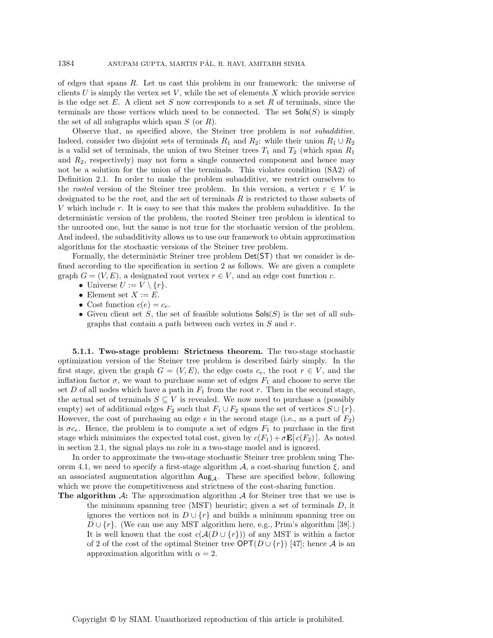of edges that spans  $R$ . Let us cast this problem in our framework: the universe of clients  $U$  is simply the vertex set  $V$ , while the set of elements  $X$  which provide service is the edge set E. A client set S now corresponds to a set R of terminals, since the terminals are those vertices which need to be connected. The set  $\mathsf{Sols}(S)$  is simply the set of all subgraphs which span  $S$  (or  $R$ ).

Observe that, as specified above, the Steiner tree problem is *not subadditive*. Indeed, consider two disjoint sets of terminals  $R_1$  and  $R_2$ : while their union  $R_1 \cup R_2$ is a valid set of terminals, the union of two Steiner trees  $T_1$  and  $T_2$  (which span  $R_1$ and  $R_2$ , respectively) may not form a single connected component and hence may not be a solution for the union of the terminals. This violates condition (SA2) of Definition 2.1. In order to make the problem subadditive, we restrict ourselves to the *rooted* version of the Steiner tree problem. In this version, a vertex  $r \in V$  is designated to be the *root*, and the set of terminals R is restricted to those subsets of V which include  $r$ . It is easy to see that this makes the problem subadditive. In the deterministic version of the problem, the rooted Steiner tree problem is identical to the unrooted one, but the same is not true for the stochastic version of the problem. And indeed, the subadditivity allows us to use our framework to obtain approximation algorithms for the stochastic versions of the Steiner tree problem.

Formally, the deterministic Steiner tree problem Det(ST) that we consider is defined according to the specification in section 2 as follows. We are given a complete graph  $G = (V, E)$ , a designated root vertex  $r \in V$ , and an edge cost function c.

- Universe  $U := V \setminus \{r\}.$
- Element set  $X := E$ .
- Cost function  $c(e) = c_e$ .
- Given client set S, the set of feasible solutions  $\mathsf{Sols}(S)$  is the set of all subgraphs that contain a path between each vertex in  $S$  and  $r$ .

**5.1.1. Two-stage problem: Strictness theorem.** The two-stage stochastic optimization version of the Steiner tree problem is described fairly simply. In the first stage, given the graph  $G = (V, E)$ , the edge costs  $c_e$ , the root  $r \in V$ , and the inflation factor  $\sigma$ , we want to purchase some set of edges  $F_1$  and choose to serve the set D of all nodes which have a path in  $F_1$  from the root r. Then in the second stage, the actual set of terminals  $S \subseteq V$  is revealed. We now need to purchase a (possibly empty) set of additional edges  $F_2$  such that  $F_1 \cup F_2$  spans the set of vertices  $S \cup \{r\}$ . However, the cost of purchasing an edge e in the second stage (i.e., as a part of  $F_2$ ) is  $\sigma c_e$ . Hence, the problem is to compute a set of edges  $F_1$  to purchase in the first stage which minimizes the expected total cost, given by  $c(F_1) + \sigma \mathbf{E}[c(F_2)]$ . As noted in section 2.1, the signal plays no role in a two-stage model and is ignored.

In order to approximate the two-stage stochastic Steiner tree problem using Theorem 4.1, we need to specify a first-stage algorithm  $A$ , a cost-sharing function  $\xi$ , and an associated augmentation algorithm  $\mathsf{Aug}_\mathcal{A}$ . These are specified below, following which we prove the competitiveness and strictness of the cost-sharing function.

**The algorithm**  $\mathcal{A}$ **: The approximation algorithm**  $\mathcal{A}$  **for Steiner tree that we use is** the minimum spanning tree (MST) heuristic; given a set of terminals D, it ignores the vertices not in  $D \cup \{r\}$  and builds a minimum spanning tree on  $D \cup \{r\}$ . (We can use any MST algorithm here, e.g., Prim's algorithm [38].) It is well known that the cost  $c(\mathcal{A}(D \cup \{r\}))$  of any MST is within a factor of 2 of the cost of the optimal Steiner tree  $\mathsf{OPT}(D \cup \{r\})$  [47]; hence A is an approximation algorithm with  $\alpha = 2$ .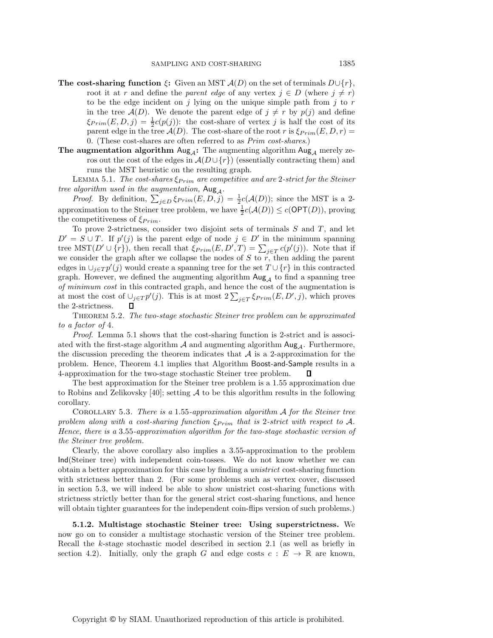- **The cost-sharing function**  $\xi$ : Given an MST  $\mathcal{A}(D)$  on the set of terminals  $D \cup \{r\}$ , root it at r and define the *parent edge* of any vertex  $j \in D$  (where  $j \neq r$ ) to be the edge incident on  $j$  lying on the unique simple path from  $j$  to  $r$ in the tree  $\mathcal{A}(D)$ . We denote the parent edge of  $j \neq r$  by  $p(j)$  and define  $\xi_{Prim}(E, D, j) = \frac{1}{2}c(p(j))$ : the cost-share of vertex j is half the cost of its parent edge in the tree  $\mathcal{A}(D)$ . The cost-share of the root r is  $\xi_{Prim}(E, D, r) =$ 0. (These cost-shares are often referred to as *Prim cost-shares*.)
- **The augmentation algorithm**  $\text{Aug}_A$ **:** The augmenting algorithm  $\text{Aug}_A$  merely zeros out the cost of the edges in  $\mathcal{A}(D \cup \{r\})$  (essentially contracting them) and runs the MST heuristic on the resulting graph.

LEMMA 5.1. *The cost-shares*  $ξ<sub>Prim</sub>$  *are competitive and are* 2-strict for the Steiner *tree algorithm used in the augmentation,*  $Aug_A$ .

*Proof.* By definition,  $\sum_{j\in D} \xi_{Prim}(E, D, j) = \frac{1}{2}c(\mathcal{A}(D))$ ; since the MST is a 2approximation to the Steiner tree problem, we have  $\frac{1}{2}c(\mathcal{A}(D)) \leq c(\mathsf{OPT}(D))$ , proving the competitiveness of  $\xi_{Prim}$ .

To prove 2-strictness, consider two disjoint sets of terminals  $S$  and  $T$ , and let  $D' = S \cup T$ . If  $p'(j)$  is the parent edge of node  $j \in D'$  in the minimum spanning tree MST( $D' \cup \{r\}$ ), then recall that  $\xi_{Prim}(E, D', T) = \sum_{j \in T} c(p'(j))$ . Note that if we consider the graph after we collapse the nodes of  $S$  to  $r$ , then adding the parent edges in  $\cup_{j\in T} p'(j)$  would create a spanning tree for the set  $T \cup \{r\}$  in this contracted graph. However, we defined the augmenting algorithm  $\mathsf{Aug}_A$  to find a spanning tree *of minimum cost* in this contracted graph, and hence the cost of the augmentation is at most the cost of  $\bigcup_{j\in T} p'(j)$ . This is at most  $2\sum_{j\in T} \xi_{Prim}(E, D', j)$ , which proves the 2-strictness.

Theorem 5.2. *The two-stage stochastic Steiner tree problem can be approximated to a factor of* 4*.*

*Proof.* Lemma 5.1 shows that the cost-sharing function is 2-strict and is associated with the first-stage algorithm  $A$  and augmenting algorithm  $\text{Aug}_{A}$ . Furthermore, the discussion preceding the theorem indicates that  $A$  is a 2-approximation for the problem. Hence, Theorem 4.1 implies that Algorithm Boost-and-Sample results in a 4-approximation for the two-stage stochastic Steiner tree problem. П

The best approximation for the Steiner tree problem is a 1.55 approximation due to Robins and Zelikovsky [40]; setting  $A$  to be this algorithm results in the following corollary.

Corollary 5.3. *There is a* 1.55*-approximation algorithm* A *for the Steiner tree problem along with a cost-sharing function*  $\xi_{Prim}$  *that is* 2-strict with respect to A. *Hence, there is a* 3.55*-approximation algorithm for the two-stage stochastic version of the Steiner tree problem.*

Clearly, the above corollary also implies a 3.55-approximation to the problem Ind(Steiner tree) with independent coin-tosses. We do not know whether we can obtain a better approximation for this case by finding a *unistrict* cost-sharing function with strictness better than 2. (For some problems such as vertex cover, discussed in section 5.3, we will indeed be able to show unistrict cost-sharing functions with strictness strictly better than for the general strict cost-sharing functions, and hence will obtain tighter guarantees for the independent coin-flips version of such problems.)

**5.1.2. Multistage stochastic Steiner tree: Using superstrictness.** We now go on to consider a multistage stochastic version of the Steiner tree problem. Recall the k-stage stochastic model described in section 2.1 (as well as briefly in section 4.2). Initially, only the graph G and edge costs  $c : E \to \mathbb{R}$  are known,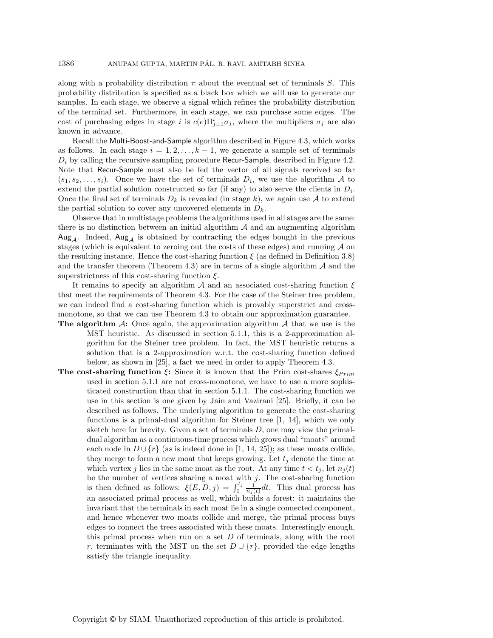along with a probability distribution  $\pi$  about the eventual set of terminals S. This probability distribution is specified as a black box which we will use to generate our samples. In each stage, we observe a signal which refines the probability distribution of the terminal set. Furthermore, in each stage, we can purchase some edges. The cost of purchasing edges in stage i is  $c(e)\prod_{j=1}^{i} \sigma_j$ , where the multipliers  $\sigma_j$  are also known in advance.

Recall the Multi-Boost-and-Sample algorithm described in Figure 4.3, which works as follows. In each stage  $i = 1, 2, \ldots, k - 1$ , we generate a sample set of terminals  $D_i$  by calling the recursive sampling procedure Recur-Sample, described in Figure 4.2. Note that Recur-Sample must also be fed the vector of all signals received so far  $(s_1, s_2, \ldots, s_i)$ . Once we have the set of terminals  $D_i$ , we use the algorithm A to extend the partial solution constructed so far (if any) to also serve the clients in  $D_i$ . Once the final set of terminals  $D_k$  is revealed (in stage k), we again use A to extend the partial solution to cover any uncovered elements in  $D_k$ .

Observe that in multistage problems the algorithms used in all stages are the same: there is no distinction between an initial algorithm  $A$  and an augmenting algorithm Aug<sub>A</sub>. Indeed, Aug<sub>A</sub> is obtained by contracting the edges bought in the previous stages (which is equivalent to zeroing out the costs of these edges) and running  $A$  on the resulting instance. Hence the cost-sharing function  $\xi$  (as defined in Definition 3.8) and the transfer theorem (Theorem 4.3) are in terms of a single algorithm  $A$  and the superstrictness of this cost-sharing function  $\xi$ .

It remains to specify an algorithm  $\mathcal A$  and an associated cost-sharing function  $\xi$ that meet the requirements of Theorem 4.3. For the case of the Steiner tree problem, we can indeed find a cost-sharing function which is provably superstrict and crossmonotone, so that we can use Theorem 4.3 to obtain our approximation guarantee.

- **The algorithm**  $\mathcal{A}$ **:** Once again, the approximation algorithm  $\mathcal{A}$  that we use is the MST heuristic. As discussed in section 5.1.1, this is a 2-approximation algorithm for the Steiner tree problem. In fact, the MST heuristic returns a solution that is a 2-approximation w.r.t. the cost-sharing function defined below, as shown in [25], a fact we need in order to apply Theorem 4.3.
- **The cost-sharing function**  $\xi$ : Since it is known that the Prim cost-shares  $\xi_{Prim}$ used in section 5.1.1 are not cross-monotone, we have to use a more sophisticated construction than that in section 5.1.1. The cost-sharing function we use in this section is one given by Jain and Vazirani [25]. Briefly, it can be described as follows. The underlying algorithm to generate the cost-sharing functions is a primal-dual algorithm for Steiner tree [1, 14], which we only sketch here for brevity. Given a set of terminals  $D$ , one may view the primaldual algorithm as a continuous-time process which grows dual "moats" around each node in  $D \cup \{r\}$  (as is indeed done in [1, 14, 25]); as these moats collide, they merge to form a new moat that keeps growing. Let  $t_i$  denote the time at which vertex j lies in the same moat as the root. At any time  $t < t<sub>j</sub>$ , let  $n<sub>j</sub>(t)$ be the number of vertices sharing a moat with  $j$ . The cost-sharing function is then defined as follows:  $\xi(E, D, j) = \int_0^{t_j} \frac{1}{n_j(t)} dt$ . This dual process has an associated primal process as well, which builds a forest: it maintains the invariant that the terminals in each moat lie in a single connected component, and hence whenever two moats collide and merge, the primal process buys edges to connect the trees associated with these moats. Interestingly enough, this primal process when run on a set  $D$  of terminals, along with the root r, terminates with the MST on the set  $D \cup \{r\}$ , provided the edge lengths satisfy the triangle inequality.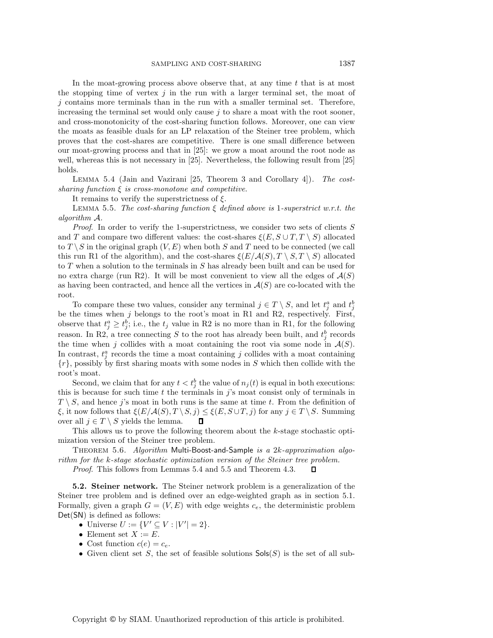In the moat-growing process above observe that, at any time  $t$  that is at most the stopping time of vertex  $j$  in the run with a larger terminal set, the moat of  $j$  contains more terminals than in the run with a smaller terminal set. Therefore, increasing the terminal set would only cause  $j$  to share a moat with the root sooner, and cross-monotonicity of the cost-sharing function follows. Moreover, one can view the moats as feasible duals for an LP relaxation of the Steiner tree problem, which proves that the cost-shares are competitive. There is one small difference between our moat-growing process and that in [25]: we grow a moat around the root node as well, whereas this is not necessary in [25]. Nevertheless, the following result from [25] holds.

Lemma 5.4 (Jain and Vazirani [25, Theorem 3 and Corollary 4]). *The costsharing function* ξ *is cross-monotone and competitive.*

It remains to verify the superstrictness of  $\xi$ .

Lemma 5.5. *The cost-sharing function* ξ *defined above is* 1*-superstrict w.r.t. the algorithm* A*.*

*Proof*. In order to verify the 1-superstrictness, we consider two sets of clients S and T and compare two different values: the cost-shares  $\xi(E, S \cup T, T \setminus S)$  allocated to  $T \setminus S$  in the original graph  $(V, E)$  when both S and T need to be connected (we call this run R1 of the algorithm), and the cost-shares  $\xi(E/A(S), T \setminus S, T \setminus S)$  allocated to T when a solution to the terminals in S has already been built and can be used for no extra charge (run R2). It will be most convenient to view all the edges of  $\mathcal{A}(S)$ as having been contracted, and hence all the vertices in  $A(S)$  are co-located with the root.

To compare these two values, consider any terminal  $j \in T \setminus S$ , and let  $t_j^a$  and  $t_j^b$ be the times when  $j$  belongs to the root's moat in R1 and R2, respectively. First, observe that  $t_j^a \geq t_j^b$ ; i.e., the  $t_j$  value in R2 is no more than in R1, for the following reason. In R2, a tree connecting S to the root has already been built, and  $t_j^b$  records the time when j collides with a moat containing the root via some node in  $\mathcal{A}(S)$ . In contrast,  $t_j^a$  records the time a moat containing j collides with a moat containing  ${r}$ , possibly by first sharing moats with some nodes in S which then collide with the root's moat.

Second, we claim that for any  $t < t_j^b$  the value of  $n_j(t)$  is equal in both executions: this is because for such time t the terminals in j's moat consist only of terminals in  $T \setminus S$ , and hence j's moat in both runs is the same at time t. From the definition of  $\xi$ , it now follows that  $\xi(E/\mathcal{A}(S), T \setminus S, j) \leq \xi(E, S \cup T, j)$  for any  $j \in T \setminus S$ . Summing over all  $j \in T \setminus S$  yields the lemma.  $\Box$ 

This allows us to prove the following theorem about the k-stage stochastic optimization version of the Steiner tree problem.

Theorem 5.6. *Algorithm* Multi-Boost-and-Sample *is a* 2k*-approximation algorithm for the* k*-stage stochastic optimization version of the Steiner tree problem.*

*Proof*. This follows from Lemmas 5.4 and 5.5 and Theorem 4.3. П

**5.2. Steiner network.** The Steiner network problem is a generalization of the Steiner tree problem and is defined over an edge-weighted graph as in section 5.1. Formally, given a graph  $G = (V, E)$  with edge weights  $c_e$ , the deterministic problem Det(SN) is defined as follows:

- Universe  $U := \{V' \subseteq V : |V'| = 2\}.$
- Element set  $X := E$ .
- Cost function  $c(e) = c_e$ .
- Given client set S, the set of feasible solutions  $\mathsf{Sols}(S)$  is the set of all sub-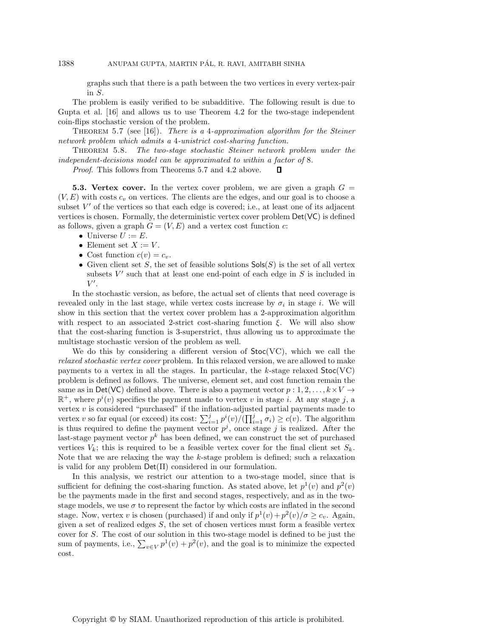graphs such that there is a path between the two vertices in every vertex-pair in S.

П

The problem is easily verified to be subadditive. The following result is due to Gupta et al. [16] and allows us to use Theorem 4.2 for the two-stage independent coin-flips stochastic version of the problem.

Theorem 5.7 (see [16]). *There is a* 4*-approximation algorithm for the Steiner network problem which admits a* 4*-unistrict cost-sharing function.*

Theorem 5.8. *The two-stage stochastic Steiner network problem under the independent-decisions model can be approximated to within a factor of* 8*.*

*Proof*. This follows from Theorems 5.7 and 4.2 above.

**5.3. Vertex cover.** In the vertex cover problem, we are given a graph  $G =$  $(V, E)$  with costs  $c_v$  on vertices. The clients are the edges, and our goal is to choose a subset  $V'$  of the vertices so that each edge is covered; i.e., at least one of its adjacent vertices is chosen. Formally, the deterministic vertex cover problem  $Det(VC)$  is defined as follows, given a graph  $G = (V, E)$  and a vertex cost function c:

- Universe  $U := E$ .
- Element set  $X := V$ .
- Cost function  $c(v) = c_v$ .
- Given client set S, the set of feasible solutions  $\mathsf{Sols}(S)$  is the set of all vertex subsets  $V'$  such that at least one end-point of each edge in  $S$  is included in  $V'.$

In the stochastic version, as before, the actual set of clients that need coverage is revealed only in the last stage, while vertex costs increase by  $\sigma_i$  in stage i. We will show in this section that the vertex cover problem has a 2-approximation algorithm with respect to an associated 2-strict cost-sharing function  $\xi$ . We will also show that the cost-sharing function is 3-superstrict, thus allowing us to approximate the multistage stochastic version of the problem as well.

We do this by considering a different version of  $Stoc(VC)$ , which we call the *relaxed stochastic vertex cover* problem. In this relaxed version, we are allowed to make payments to a vertex in all the stages. In particular, the  $k$ -stage relaxed  $Stoc(VC)$ problem is defined as follows. The universe, element set, and cost function remain the same as in Det(VC) defined above. There is also a payment vector  $p: 1, 2, \ldots, k \times V \rightarrow$  $\mathbb{R}^+$ , where  $p^i(v)$  specifies the payment made to vertex v in stage i. At any stage j, a vertex  $v$  is considered "purchased" if the inflation-adjusted partial payments made to vertex v so far equal (or exceed) its cost:  $\sum_{i=1}^{j} p^{i}(v) / (\prod_{i=1}^{j} \sigma_i) \geq c(v)$ . The algorithm is thus required to define the payment vector  $p<sup>j</sup>$ , once stage j is realized. After the last-stage payment vector  $p^k$  has been defined, we can construct the set of purchased vertices  $V_k$ ; this is required to be a feasible vertex cover for the final client set  $S_k$ . Note that we are relaxing the way the  $k$ -stage problem is defined; such a relaxation is valid for any problem  $Det(\Pi)$  considered in our formulation.

In this analysis, we restrict our attention to a two-stage model, since that is sufficient for defining the cost-sharing function. As stated above, let  $p^1(v)$  and  $p^2(v)$ be the payments made in the first and second stages, respectively, and as in the twostage models, we use  $\sigma$  to represent the factor by which costs are inflated in the second stage. Now, vertex v is chosen (purchased) if and only if  $p^1(v) + p^2(v)/\sigma \geq c_v$ . Again, given a set of realized edges  $S$ , the set of chosen vertices must form a feasible vertex cover for S. The cost of our solution in this two-stage model is defined to be just the sum of payments, i.e.,  $\sum_{v \in V} p^1(v) + p^2(v)$ , and the goal is to minimize the expected cost.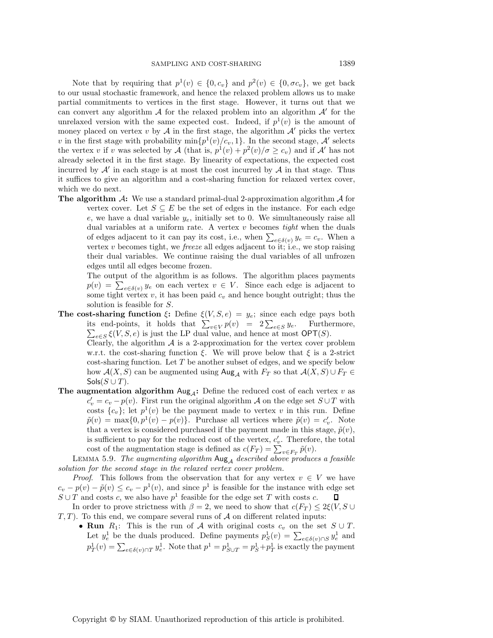Note that by requiring that  $p^1(v) \in \{0, c_v\}$  and  $p^2(v) \in \{0, \sigma c_v\}$ , we get back to our usual stochastic framework, and hence the relaxed problem allows us to make partial commitments to vertices in the first stage. However, it turns out that we can convert any algorithm  $\mathcal A$  for the relaxed problem into an algorithm  $\mathcal A'$  for the unrelaxed version with the same expected cost. Indeed, if  $p<sup>1</sup>(v)$  is the amount of money placed on vertex v by A in the first stage, the algorithm  $\mathcal{A}'$  picks the vertex v in the first stage with probability min $\{p^1(v)/c_v, 1\}$ . In the second stage, A' selects the vertex v if v was selected by A (that is,  $p^1(v) + p^2(v)/\sigma \geq c_v$ ) and if A' has not already selected it in the first stage. By linearity of expectations, the expected cost incurred by  $\mathcal{A}'$  in each stage is at most the cost incurred by  $\mathcal{A}$  in that stage. Thus it suffices to give an algorithm and a cost-sharing function for relaxed vertex cover, which we do next.

**The algorithm A:** We use a standard primal-dual 2-approximation algorithm A for vertex cover. Let  $S \subseteq E$  be the set of edges in the instance. For each edge e, we have a dual variable  $y_e$ , initially set to 0. We simultaneously raise all dual variables at a uniform rate. A vertex v becomes *tight* when the duals of edges adjacent to it can pay its cost, i.e., when  $\sum_{e \in \delta(v)} y_e = c_v$ . When a vertex v becomes tight, we *freeze* all edges adjacent to it; i.e., we stop raising their dual variables. We continue raising the dual variables of all unfrozen edges until all edges become frozen.

The output of the algorithm is as follows. The algorithm places payments  $p(v) = \sum_{e \in \delta(v)} y_e$  on each vertex  $v \in V$ . Since each edge is adjacent to some tight vertex  $v$ , it has been paid  $c_v$  and hence bought outright; thus the solution is feasible for S.

**The cost-sharing function**  $\xi$ : Define  $\xi(V, S, e) = y_e$ ; since each edge pays both its end-points, it holds that  $\sum_{v \in V} p(v) = 2 \sum_{e \in S} y_e$ . Furthermore,<br> $\sum_{e \in S} \xi(V, S, e)$  is just the LP dual value, and hence at most OPT(S).  $e \in S \in \mathcal{E}(V, S, e)$  is just the LP dual value, and hence at most  $\mathsf{OPT}(S)$ .

Clearly, the algorithm  $A$  is a 2-approximation for the vertex cover problem w.r.t. the cost-sharing function  $\xi$ . We will prove below that  $\xi$  is a 2-strict  $\cos t$ -sharing function. Let  $T$  be another subset of edges, and we specify below how  $\mathcal{A}(X, S)$  can be augmented using  $\mathsf{Aug}_{\mathcal{A}}$  with  $F_T$  so that  $\mathcal{A}(X, S) \cup F_T \in$  $Sols(S \cup T)$ .

**The augmentation algorithm**  $\text{Aug}_\mathcal{A}$ **:** Define the reduced cost of each vertex v as  $c'_v = c_v - p(v)$ . First run the original algorithm A on the edge set  $S \cup T$  with costs  $\{c_v\}$ ; let  $p^1(v)$  be the payment made to vertex v in this run. Define  $\tilde{p}(v) = \max\{0, p^1(v) - p(v)\}.$  Purchase all vertices where  $\tilde{p}(v) = c'_v$ . Note that a vertex is considered purchased if the payment made in this stage,  $\tilde{p}(v)$ , is sufficient to pay for the reduced cost of the vertex,  $c'_v$ . Therefore, the total cost of the augmentation stage is defined as  $c(F_T) = \sum_{v \in F_T}^{\infty} \tilde{p}(v)$ .

LEMMA 5.9. *The augmenting algorithm*  $\text{Aug}_{\mathcal{A}}$  *described above produces a feasible solution for the second stage in the relaxed vertex cover problem.*

*Proof.* This follows from the observation that for any vertex  $v \in V$  we have  $c_v - p(v) - \tilde{p}(v) \leq c_v - p^{1}(v)$ , and since  $p^{1}$  is feasible for the instance with edge set  $S \cup T$  and costs c, we also have  $p<sup>1</sup>$  feasible for the edge set T with costs c. О

In order to prove strictness with  $\beta = 2$ , we need to show that  $c(F_T) \leq 2\xi(V, S \cup$  $T, T$ ). To this end, we compare several runs of  $A$  on different related inputs:

• **Run**  $R_1$ : This is the run of A with original costs  $c_v$  on the set  $S \cup T$ . Let  $y_e^1$  be the duals produced. Define payments  $p_S^1(v) = \sum_{e \in \delta(v) \cap S} y_e^1$  and  $p_T^1(v) = \sum_{e \in \delta(v) \cap T} y_e^1$ . Note that  $p^1 = p_{S \cup T}^1 = p_S^1 + p_T^1$  is exactly the payment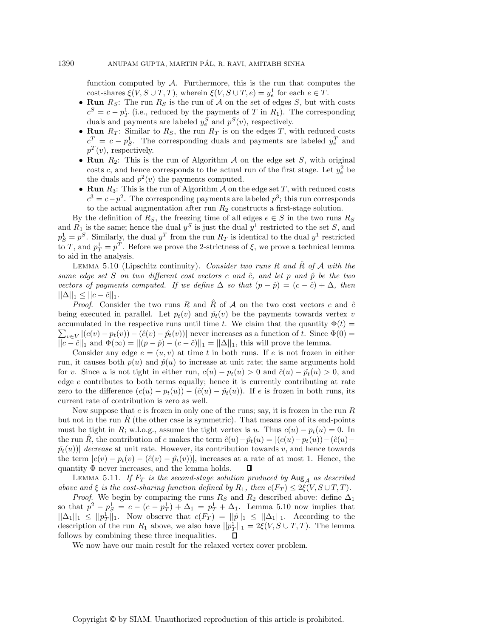function computed by  $A$ . Furthermore, this is the run that computes the cost-shares  $\xi(V, S \cup T, T)$ , wherein  $\xi(V, S \cup T, e) = y_e^1$  for each  $e \in T$ .

- **Run**  $R_S$ : The run  $R_S$  is the run of A on the set of edges S, but with costs  $c^{S} = c - p_{T}^{1}$  (i.e., reduced by the payments of T in  $R_{1}$ ). The corresponding duals and payments are labeled  $y_e^S$  and  $p^S(v)$ , respectively.
- **Run**  $R_T$ : Similar to  $R_S$ , the run  $R_T$  is on the edges T, with reduced costs  $c^T = c - p_S^1$ . The corresponding duals and payments are labeled  $y_e^T$  and  $p^T(v)$ , respectively.
- **Run**  $R_2$ : This is the run of Algorithm  $A$  on the edge set  $S$ , with original costs c, and hence corresponds to the actual run of the first stage. Let  $y_e^2$  be the duals and  $p^2(v)$  the payments computed.
- **Run**  $R_3$ : This is the run of Algorithm  $\mathcal A$  on the edge set  $T$ , with reduced costs  $c<sup>3</sup> = c-p<sup>2</sup>$ . The corresponding payments are labeled  $p<sup>3</sup>$ ; this run corresponds to the actual augmentation after run  $R_2$  constructs a first-stage solution.

By the definition of  $R_S$ , the freezing time of all edges  $e \in S$  in the two runs  $R_S$ and  $R_1$  is the same; hence the dual  $y^S$  is just the dual  $y^1$  restricted to the set S, and  $p_S^1 = p^S$ . Similarly, the dual  $y^T$  from the run  $R_T$  is identical to the dual  $y^1$  restricted to T, and  $p_T^1 = p^T$ . Before we prove the 2-strictness of  $\xi$ , we prove a technical lemma to aid in the analysis.

Lemma 5.10 (Lipschitz continuity). *Consider two runs* R *and* Rˆ *of* A *with the same edge set* S *on two different cost vectors* c *and*  $\hat{c}$ *, and let* p *and*  $\hat{p}$  *be the two vectors of payments computed. If we define*  $\Delta$  *so that*  $(p - \hat{p}) = (c - \hat{c}) + \Delta$ *, then*  $||\Delta||_1 \leq ||c - \hat{c}||_1.$ 

*Proof.* Consider the two runs R and  $\hat{R}$  of A on the two cost vectors c and  $\hat{c}$ being executed in parallel. Let  $p_t(v)$  and  $\hat{p}_t(v)$  be the payments towards vertex v accumulated in the respective runs until time t. We claim that the quantity  $\Phi(t) =$  $\sum_{v \in V} |(c(v) - p_t(v)) - (\hat{c}(v) - \hat{p}_t(v))|$  never increases as a function of t. Since  $\Phi(0) =$  $||c - \hat{c}||_1$  and  $\Phi(\infty) = ||(p - \hat{p}) - (c - \hat{c})||_1 = ||\Delta||_1$ , this will prove the lemma.

Consider any edge  $e = (u, v)$  at time t in both runs. If e is not frozen in either run, it causes both  $p(u)$  and  $\hat{p}(u)$  to increase at unit rate; the same arguments hold for v. Since u is not tight in either run,  $c(u) - p_t(u) > 0$  and  $\hat{c}(u) - \hat{p}_t(u) > 0$ , and edge  $e$  contributes to both terms equally; hence it is currently contributing at rate zero to the difference  $(c(u) - p_t(u)) - (\hat{c}(u) - \hat{p}_t(u))$ . If e is frozen in both runs, its current rate of contribution is zero as well.

Now suppose that  $e$  is frozen in only one of the runs; say, it is frozen in the run  $R$ but not in the run  $\bar{R}$  (the other case is symmetric). That means one of its end-points must be tight in R; w.l.o.g., assume the tight vertex is u. Thus  $c(u) - p_t(u) = 0$ . In the run R, the contribution of e makes the term  $\hat{c}(u) - \hat{p_t}(u) = |(c(u) - p_t(u)) - (\hat{c}(u) \hat{p}_t(u)$  *decrease* at unit rate. However, its contribution towards v, and hence towards the term  $|c(v) - p_t(v) - (\hat{c}(v) - \hat{p}_t(v))|$ , increases at a rate of at most 1. Hence, the quantity  $\Phi$  never increases, and the lemma holds.  $\Box$ 

LEMMA 5.11. *If*  $F_T$  *is the second-stage solution produced by*  $\text{Aug}_A$  *as described above and*  $\xi$  *is the cost-sharing function defined by*  $R_1$ *, then*  $c(F_T) \leq 2\xi(V, S \cup T, T)$ *.* 

*Proof.* We begin by comparing the runs  $R_S$  and  $R_2$  described above: define  $\Delta_1$ so that  $p^2 - p_S^1 = c - (c - p_T^1) + \Delta_1 = p_T^1 + \Delta_1$ . Lemma 5.10 now implies that  $||\Delta_1||_1 \leq ||p_T^{\overline{1}}||_1$ . Now observe that  $c(F_T) = ||\tilde{p}||_1 \leq ||\Delta_1||_1$ . According to the description of the run  $R_1$  above, we also have  $||p_T^1||_1 = 2\xi(V, S \cup T, T)$ . The lemma follows by combining these three inequalities.

We now have our main result for the relaxed vertex cover problem.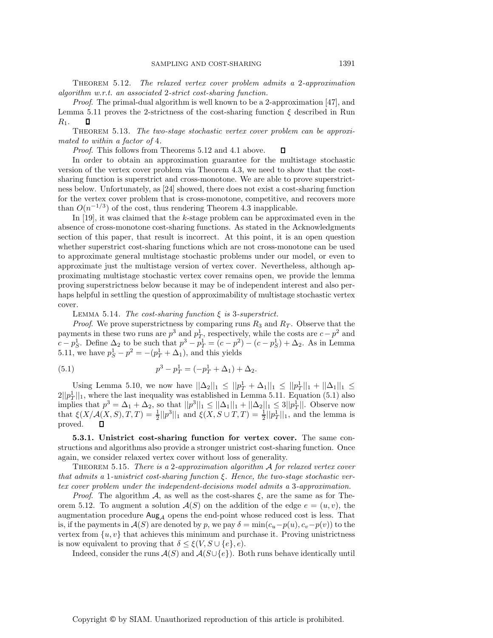Theorem 5.12. *The relaxed vertex cover problem admits a* 2*-approximation algorithm w.r.t. an associated* 2*-strict cost-sharing function.*

*Proof*. The primal-dual algorithm is well known to be a 2-approximation [47], and Lemma 5.11 proves the 2-strictness of the cost-sharing function  $\xi$  described in Run  $\Box$  $R_1$ .

Theorem 5.13. *The two-stage stochastic vertex cover problem can be approximated to within a factor of* 4*.*

*Proof*. This follows from Theorems 5.12 and 4.1 above. П

In order to obtain an approximation guarantee for the multistage stochastic version of the vertex cover problem via Theorem 4.3, we need to show that the costsharing function is superstrict and cross-monotone. We are able to prove superstrictness below. Unfortunately, as [24] showed, there does not exist a cost-sharing function for the vertex cover problem that is cross-monotone, competitive, and recovers more than  $O(n^{-1/3})$  of the cost, thus rendering Theorem 4.3 inapplicable.

In  $[19]$ , it was claimed that the k-stage problem can be approximated even in the absence of cross-monotone cost-sharing functions. As stated in the Acknowledgments section of this paper, that result is incorrect. At this point, it is an open question whether superstrict cost-sharing functions which are not cross-monotone can be used to approximate general multistage stochastic problems under our model, or even to approximate just the multistage version of vertex cover. Nevertheless, although approximating multistage stochastic vertex cover remains open, we provide the lemma proving superstrictness below because it may be of independent interest and also perhaps helpful in settling the question of approximability of multistage stochastic vertex cover.

Lemma 5.14. *The cost-sharing function* ξ *is* 3*-superstrict.*

*Proof.* We prove superstrictness by comparing runs  $R_3$  and  $R_T$ . Observe that the payments in these two runs are  $p^3$  and  $p_T^1$ , respectively, while the costs are  $c - p^2$  and  $c - p_S^1$ . Define  $\Delta_2$  to be such that  $p^3 - p_T^1 = (c - p^2) - (c - p_S^1) + \Delta_2$ . As in Lemma 5.11, we have  $p_S^1 - p^2 = -(p_T^1 + \Delta_1)$ , and this yields

(5.1) 
$$
p^3 - p_T^1 = (-p_T^1 + \Delta_1) + \Delta_2.
$$

Using Lemma 5.10, we now have  $||\Delta_2||_1 \le ||p_T^1 + \Delta_1||_1 \le ||p_T^1||_1 + ||\Delta_1||_1 \le$  $2||p_T^1||_1$ , where the last inequality was established in Lemma 5.11. Equation (5.1) also implies that  $p^3 = \Delta_1 + \Delta_2$ , so that  $||p^3||_1 \leq ||\Delta_1||_1 + ||\Delta_2||_1 \leq 3||p_T||$ . Observe now that  $\xi(X/A(X, S), T, T) = \frac{1}{2} ||p^3||_1$  and  $\xi(X, S \cup T, T) = \frac{1}{2} ||p_T||_1$ , and the lemma is proved. П

**5.3.1. Unistrict cost-sharing function for vertex cover.** The same constructions and algorithms also provide a stronger unistrict cost-sharing function. Once again, we consider relaxed vertex cover without loss of generality.

Theorem 5.15. *There is a* 2*-approximation algorithm* A *for relaxed vertex cover that admits a* 1*-unistrict cost-sharing function* ξ*. Hence, the two-stage stochastic vertex cover problem under the independent-decisions model admits a* 3*-approximation.*

*Proof.* The algorithm  $\mathcal{A}$ , as well as the cost-shares  $\xi$ , are the same as for Theorem 5.12. To augment a solution  $\mathcal{A}(S)$  on the addition of the edge  $e = (u, v)$ , the augmentation procedure  $\text{Aug}_{A}$  opens the end-point whose reduced cost is less. That is, if the payments in  $\mathcal{A}(S)$  are denoted by p, we pay  $\delta = \min(c_u - p(u), c_v - p(v))$  to the vertex from  $\{u, v\}$  that achieves this minimum and purchase it. Proving unistrictness is now equivalent to proving that  $\delta \leq \xi(V, S \cup \{e\}, e)$ .

Indeed, consider the runs  $\mathcal{A}(S)$  and  $\mathcal{A}(S \cup \{e\})$ . Both runs behave identically until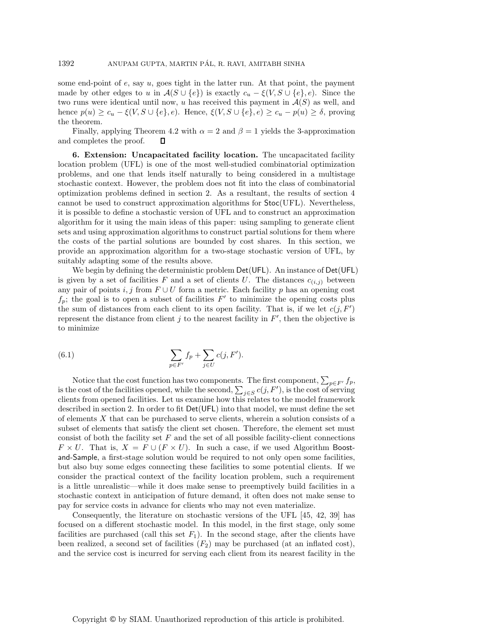some end-point of  $e$ , say  $u$ , goes tight in the latter run. At that point, the payment made by other edges to u in  $\mathcal{A}(S \cup \{e\})$  is exactly  $c_u - \xi(V, S \cup \{e\}, e)$ . Since the two runs were identical until now, u has received this payment in  $A(S)$  as well, and hence  $p(u) \geq c_u - \xi(V, S \cup \{e\}, e)$ . Hence,  $\xi(V, S \cup \{e\}, e) \geq c_u - p(u) \geq \delta$ , proving the theorem.

Finally, applying Theorem 4.2 with  $\alpha = 2$  and  $\beta = 1$  yields the 3-approximation and completes the proof.  $\Box$ 

**6. Extension: Uncapacitated facility location.** The uncapacitated facility location problem (UFL) is one of the most well-studied combinatorial optimization problems, and one that lends itself naturally to being considered in a multistage stochastic context. However, the problem does not fit into the class of combinatorial optimization problems defined in section 2. As a resultant, the results of section 4 cannot be used to construct approximation algorithms for Stoc(UFL). Nevertheless, it is possible to define a stochastic version of UFL and to construct an approximation algorithm for it using the main ideas of this paper: using sampling to generate client sets and using approximation algorithms to construct partial solutions for them where the costs of the partial solutions are bounded by cost shares. In this section, we provide an approximation algorithm for a two-stage stochastic version of UFL, by suitably adapting some of the results above.

We begin by defining the deterministic problem  $Det(UFL)$ . An instance of  $Det(UFL)$ is given by a set of facilities F and a set of clients U. The distances  $c_{(i,j)}$  between any pair of points i, j from  $F \cup U$  form a metric. Each facility p has an opening cost  $f_p$ ; the goal is to open a subset of facilities  $F'$  to minimize the opening costs plus the sum of distances from each client to its open facility. That is, if we let  $c(j, F')$ represent the distance from client  $j$  to the nearest facility in  $F'$ , then the objective is to minimize

(6.1) 
$$
\sum_{p \in F'} f_p + \sum_{j \in U} c(j, F').
$$

Notice that the cost function has two components. The first component,  $\sum_{p\in F'} f_p$ , is the cost of the facilities opened, while the second,  $\sum_{j\in S} c(j, F')$ , is the cost of serving clients from opened facilities. Let us examine how this relates to the model framework described in section 2. In order to fit Det(UFL) into that model, we must define the set of elements  $X$  that can be purchased to serve clients, wherein a solution consists of a subset of elements that satisfy the client set chosen. Therefore, the element set must consist of both the facility set  $F$  and the set of all possible facility-client connections  $F \times U$ . That is,  $X = F \cup (F \times U)$ . In such a case, if we used Algorithm Boostand-Sample, a first-stage solution would be required to not only open some facilities, but also buy some edges connecting these facilities to some potential clients. If we consider the practical context of the facility location problem, such a requirement is a little unrealistic—while it does make sense to preemptively build facilities in a stochastic context in anticipation of future demand, it often does not make sense to pay for service costs in advance for clients who may not even materialize.

Consequently, the literature on stochastic versions of the UFL [45, 42, 39] has focused on a different stochastic model. In this model, in the first stage, only some facilities are purchased (call this set  $F_1$ ). In the second stage, after the clients have been realized, a second set of facilities  $(F_2)$  may be purchased (at an inflated cost), and the service cost is incurred for serving each client from its nearest facility in the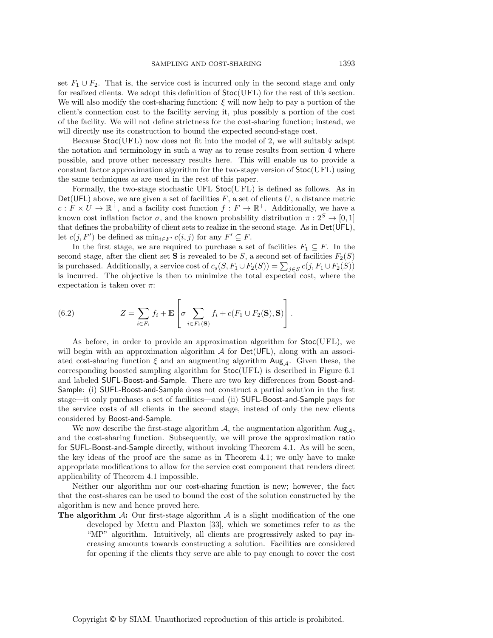set  $F_1 \cup F_2$ . That is, the service cost is incurred only in the second stage and only for realized clients. We adopt this definition of Stoc(UFL) for the rest of this section. We will also modify the cost-sharing function:  $\xi$  will now help to pay a portion of the client's connection cost to the facility serving it, plus possibly a portion of the cost of the facility. We will not define strictness for the cost-sharing function; instead, we will directly use its construction to bound the expected second-stage cost.

Because Stoc(UFL) now does not fit into the model of 2, we will suitably adapt the notation and terminology in such a way as to reuse results from section 4 where possible, and prove other necessary results here. This will enable us to provide a constant factor approximation algorithm for the two-stage version of Stoc(UFL) using the same techniques as are used in the rest of this paper.

Formally, the two-stage stochastic UFL Stoc(UFL) is defined as follows. As in Det(UFL) above, we are given a set of facilities  $F$ , a set of clients  $U$ , a distance metric  $c: F \times U \to \mathbb{R}^+$ , and a facility cost function  $f: F \to \mathbb{R}^+$ . Additionally, we have a known cost inflation factor  $\sigma$ , and the known probability distribution  $\pi : 2^S \to [0,1]$ that defines the probability of client sets to realize in the second stage. As in Det(UFL), let  $c(j, F')$  be defined as  $\min_{i \in F'} c(i, j)$  for any  $F' \subseteq F$ .

In the first stage, we are required to purchase a set of facilities  $F_1 \subseteq F$ . In the second stage, after the client set **S** is revealed to be S, a second set of facilities  $F_2(S)$ is purchased. Additionally, a service cost of  $c_s(S, F_1 \cup F_2(S)) = \sum_{j \in S} c(j, F_1 \cup F_2(S))$ is incurred. The objective is then to minimize the total expected cost, where the expectation is taken over  $\pi$ :

(6.2) 
$$
Z = \sum_{i \in F_1} f_i + \mathbf{E} \left[ \sigma \sum_{i \in F_2(\mathbf{S})} f_i + c(F_1 \cup F_2(\mathbf{S}), \mathbf{S}) \right].
$$

As before, in order to provide an approximation algorithm for  $Stoc(UFL)$ , we will begin with an approximation algorithm  $A$  for  $Det(UFL)$ , along with an associated cost-sharing function  $\xi$  and an augmenting algorithm  $\text{Aug}_A$ . Given these, the corresponding boosted sampling algorithm for Stoc(UFL) is described in Figure 6.1 and labeled SUFL-Boost-and-Sample. There are two key differences from Boost-and-Sample: (i) SUFL-Boost-and-Sample does not construct a partial solution in the first stage—it only purchases a set of facilities—and (ii) SUFL-Boost-and-Sample pays for the service costs of all clients in the second stage, instead of only the new clients considered by Boost-and-Sample.

We now describe the first-stage algorithm  $\mathcal{A}$ , the augmentation algorithm  $\mathsf{Aug}_\mathcal{A}$ , and the cost-sharing function. Subsequently, we will prove the approximation ratio for SUFL-Boost-and-Sample directly, without invoking Theorem 4.1. As will be seen, the key ideas of the proof are the same as in Theorem 4.1; we only have to make appropriate modifications to allow for the service cost component that renders direct applicability of Theorem 4.1 impossible.

Neither our algorithm nor our cost-sharing function is new; however, the fact that the cost-shares can be used to bound the cost of the solution constructed by the algorithm is new and hence proved here.

**The algorithm A:** Our first-stage algorithm A is a slight modification of the one developed by Mettu and Plaxton [33], which we sometimes refer to as the "MP" algorithm. Intuitively, all clients are progressively asked to pay increasing amounts towards constructing a solution. Facilities are considered for opening if the clients they serve are able to pay enough to cover the cost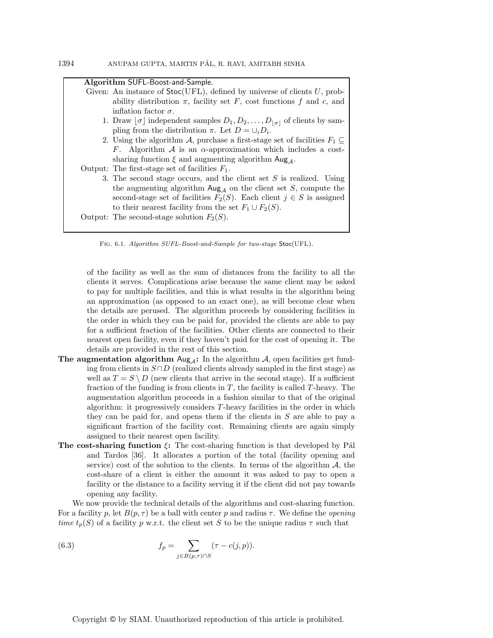

Fig. 6.1. Algorithm SUFL-Boost-and-Sample for two-stage Stoc(UFL).

of the facility as well as the sum of distances from the facility to all the clients it serves. Complications arise because the same client may be asked to pay for multiple facilities, and this is what results in the algorithm being an approximation (as opposed to an exact one), as will become clear when the details are perused. The algorithm proceeds by considering facilities in the order in which they can be paid for, provided the clients are able to pay for a sufficient fraction of the facilities. Other clients are connected to their nearest open facility, even if they haven't paid for the cost of opening it. The details are provided in the rest of this section.

- **The augmentation algorithm**  $\text{Aug}_A$ : In the algorithm A, open facilities get funding from clients in  $S \cap D$  (realized clients already sampled in the first stage) as well as  $T = S \ D$  (new clients that arrive in the second stage). If a sufficient fraction of the funding is from clients in  $T$ , the facility is called  $T$ -heavy. The augmentation algorithm proceeds in a fashion similar to that of the original algorithm: it progressively considers T -heavy facilities in the order in which they can be paid for, and opens them if the clients in  $S$  are able to pay a significant fraction of the facility cost. Remaining clients are again simply assigned to their nearest open facility.
- **The cost-sharing function** ξ: The cost-sharing function is that developed by Pál and Tardos [36]. It allocates a portion of the total (facility opening and service) cost of the solution to the clients. In terms of the algorithm  $A$ , the cost-share of a client is either the amount it was asked to pay to open a facility or the distance to a facility serving it if the client did not pay towards opening any facility.

We now provide the technical details of the algorithms and cost-sharing function. For a facility p, let  $B(p, \tau)$  be a ball with center p and radius  $\tau$ . We define the *opening time*  $t_p(S)$  of a facility p w.r.t. the client set S to be the unique radius  $\tau$  such that

(6.3) 
$$
f_p = \sum_{j \in B(p,\tau) \cap S} (\tau - c(j,p)).
$$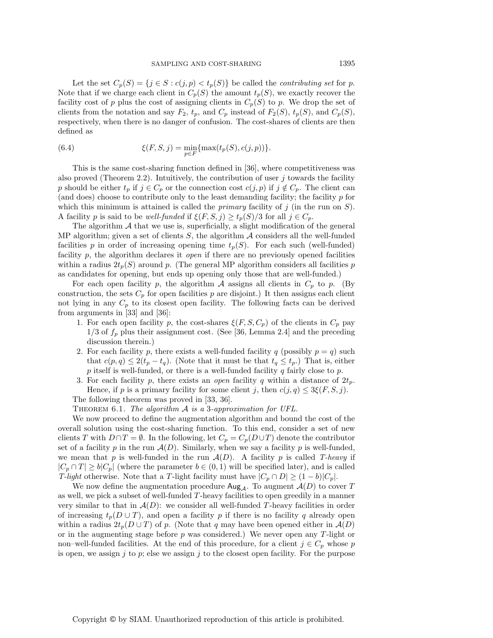Let the set  $C_p(S) = \{j \in S : c(j, p) < t_p(S)\}\$  be called the *contributing set* for p. Note that if we charge each client in  $C_p(S)$  the amount  $t_p(S)$ , we exactly recover the facility cost of p plus the cost of assigning clients in  $C_p(S)$  to p. We drop the set of clients from the notation and say  $F_2$ ,  $t_p$ , and  $C_p$  instead of  $F_2(S)$ ,  $t_p(S)$ , and  $C_p(S)$ , respectively, when there is no danger of confusion. The cost-shares of clients are then defined as

(6.4) 
$$
\xi(F, S, j) = \min_{p \in F} \{ \max(t_p(S), c(j, p)) \}.
$$

This is the same cost-sharing function defined in [36], where competitiveness was also proved (Theorem 2.2). Intuitively, the contribution of user  $j$  towards the facility p should be either  $t_p$  if  $j \in C_p$  or the connection cost  $c(j, p)$  if  $j \notin C_p$ . The client can (and does) choose to contribute only to the least demanding facility; the facility p for which this minimum is attained is called the *primary* facility of j (in the run on S). A facility p is said to be *well-funded* if  $\xi(F, S, j) \ge t_p(S)/3$  for all  $j \in C_p$ .

The algorithm  $A$  that we use is, superficially, a slight modification of the general MP algorithm; given a set of clients  $S$ , the algorithm  $A$  considers all the well-funded facilities p in order of increasing opening time  $t_p(S)$ . For each such (well-funded) facility p, the algorithm declares it *open* if there are no previously opened facilities within a radius  $2t_p(S)$  around p. (The general MP algorithm considers all facilities p as candidates for opening, but ends up opening only those that are well-funded.)

For each open facility p, the algorithm A assigns all clients in  $C_p$  to p. (By construction, the sets  $C_p$  for open facilities p are disjoint.) It then assigns each client not lying in any  $C_p$  to its closest open facility. The following facts can be derived from arguments in [33] and [36]:

- 1. For each open facility p, the cost-shares  $\xi(F, S, C_p)$  of the clients in  $C_p$  pay  $1/3$  of  $f_p$  plus their assignment cost. (See [36, Lemma 2.4] and the preceding discussion therein.)
- 2. For each facility p, there exists a well-funded facility  $q$  (possibly  $p = q$ ) such that  $c(p, q) \leq 2(t_p - t_q)$ . (Note that it must be that  $t_q \leq t_p$ .) That is, either  $p$  itself is well-funded, or there is a well-funded facility  $q$  fairly close to  $p$ .
- 3. For each facility p, there exists an *open* facility q within a distance of  $2t_p$ . Hence, if p is a primary facility for some client j, then  $c(j, q) \leq 3\xi(F, S, j)$ .

The following theorem was proved in [33, 36]. THEOREM 6.1. *The algorithm* A *is a* 3-approximation for UFL.

We now proceed to define the augmentation algorithm and bound the cost of the overall solution using the cost-sharing function. To this end, consider a set of new clients T with  $D \cap T = \emptyset$ . In the following, let  $C_p = C_p(D \cup T)$  denote the contributor set of a facility p in the run  $A(D)$ . Similarly, when we say a facility p is well-funded, we mean that p is well-funded in the run  $A(D)$ . A facility p is called *T-heavy* if  $|C_p \cap T| \ge b|C_p|$  (where the parameter  $b \in (0,1)$  will be specified later), and is called *T-light* otherwise. Note that a *T*-light facility must have  $|C_p \cap D| \geq (1 - b)|C_p|$ .

We now define the augmentation procedure  $\text{Aug}_A$ . To augment  $\mathcal{A}(D)$  to cover T as well, we pick a subset of well-funded T -heavy facilities to open greedily in a manner very similar to that in  $A(D)$ : we consider all well-funded T-heavy facilities in order of increasing  $t_p(D\cup T)$ , and open a facility p if there is no facility q already open within a radius  $2t_p(D\cup T)$  of p. (Note that q may have been opened either in  $\mathcal{A}(D)$ ) or in the augmenting stage before  $p$  was considered.) We never open any  $T$ -light or non–well-funded facilities. At the end of this procedure, for a client  $j \in C_p$  whose p is open, we assign  $j$  to  $p$ ; else we assign  $j$  to the closest open facility. For the purpose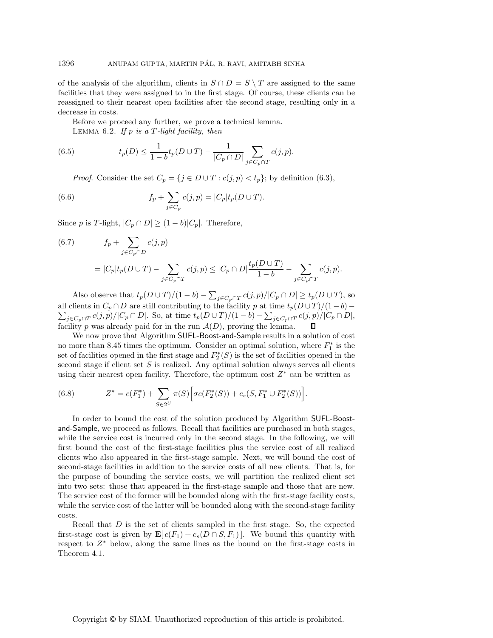of the analysis of the algorithm, clients in  $S \cap D = S \setminus T$  are assigned to the same facilities that they were assigned to in the first stage. Of course, these clients can be reassigned to their nearest open facilities after the second stage, resulting only in a decrease in costs.

Before we proceed any further, we prove a technical lemma. Lemma 6.2. *If* p *is a* T *-light facility, then*

(6.5) 
$$
t_p(D) \le \frac{1}{1-b} t_p(D \cup T) - \frac{1}{|C_p \cap D|} \sum_{j \in C_p \cap T} c(j, p).
$$

*Proof.* Consider the set  $C_p = \{j \in D \cup T : c(j, p) < t_p\}$ ; by definition (6.3),

(6.6) 
$$
f_p + \sum_{j \in C_p} c(j, p) = |C_p| t_p (D \cup T).
$$

Since p is T-light,  $|C_p \cap D| \ge (1 - b)|C_p|$ . Therefore,

(6.7) 
$$
f_p + \sum_{j \in C_p \cap D} c(j, p)
$$

$$
= |C_p| t_p(D \cup T) - \sum_{j \in C_p \cap T} c(j, p) \le |C_p \cap D| \frac{t_p(D \cup T)}{1 - b} - \sum_{j \in C_p \cap T} c(j, p).
$$

Also observe that  $t_p(D \cup T)/(1-b) - \sum_{j \in C_p \cap T} c(j,p)/|C_p \cap D| \ge t_p(D \cup T)$ , so all clients in  $C_p \cap D$  are still contributing to the facility p at time  $t_p(D \cup T)/(1 - b)$  $\sum_{j\in C_p\cap T} c(j,p)/|C_p\cap D|$ . So, at time  $t_p(D\cup T)/(1-b) - \sum_{j\in C_p\cap T} c(j,p)/|C_p\cap D|$ , facility p was already paid for in the run  $A(D)$ , proving the lemma.

We now prove that Algorithm SUFL-Boost-and-Sample results in a solution of cost no more than 8.45 times the optimum. Consider an optimal solution, where  $F_1^*$  is the set of facilities opened in the first stage and  $F_2^*(S)$  is the set of facilities opened in the second stage if client set  $S$  is realized. Any optimal solution always serves all clients using their nearest open facility. Therefore, the optimum cost  $Z^*$  can be written as

(6.8) 
$$
Z^* = c(F_1^*) + \sum_{S \in 2^U} \pi(S) \Big[ \sigma c(F_2^*(S)) + c_s(S, F_1^* \cup F_2^*(S)) \Big].
$$

In order to bound the cost of the solution produced by Algorithm SUFL-Boostand-Sample, we proceed as follows. Recall that facilities are purchased in both stages, while the service cost is incurred only in the second stage. In the following, we will first bound the cost of the first-stage facilities plus the service cost of all realized clients who also appeared in the first-stage sample. Next, we will bound the cost of second-stage facilities in addition to the service costs of all new clients. That is, for the purpose of bounding the service costs, we will partition the realized client set into two sets: those that appeared in the first-stage sample and those that are new. The service cost of the former will be bounded along with the first-stage facility costs, while the service cost of the latter will be bounded along with the second-stage facility costs.

Recall that D is the set of clients sampled in the first stage. So, the expected first-stage cost is given by  $\mathbf{E}[c(F_1) + c_s(D \cap S, F_1)]$ . We bound this quantity with respect to  $Z^*$  below, along the same lines as the bound on the first-stage costs in Theorem 4.1.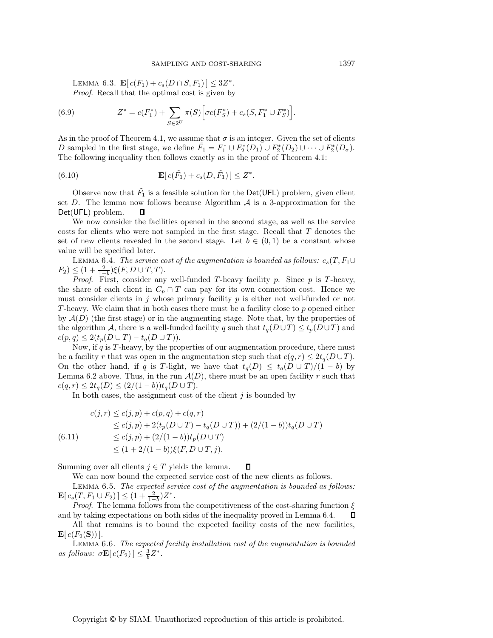LEMMA 6.3.  $\mathbf{E}[c(F_1) + c_s(D \cap S, F_1)] \leq 3Z^*$ . *Proof*. Recall that the optimal cost is given by

(6.9) 
$$
Z^* = c(F_1^*) + \sum_{S \in 2^U} \pi(S) \Big[ \sigma c(F_S^*) + c_s(S, F_1^* \cup F_S^*) \Big].
$$

As in the proof of Theorem 4.1, we assume that  $\sigma$  is an integer. Given the set of clients D sampled in the first stage, we define  $\tilde{F}_1 = F_1^* \cup F_2^*(D_1) \cup F_2^*(D_2) \cup \cdots \cup F_2^*(D_{\sigma}).$ The following inequality then follows exactly as in the proof of Theorem 4.1:

(6.10) 
$$
\mathbf{E}[c(\tilde{F}_1)+c_s(D,\tilde{F}_1)] \leq Z^*.
$$

Observe now that  $\tilde{F}_1$  is a feasible solution for the Det(UFL) problem, given client set D. The lemma now follows because Algorithm  $A$  is a 3-approximation for the Det(UFL) problem. П

We now consider the facilities opened in the second stage, as well as the service costs for clients who were not sampled in the first stage. Recall that T denotes the set of new clients revealed in the second stage. Let  $b \in (0,1)$  be a constant whose value will be specified later.

LEMMA 6.4. *The service cost of the augmentation is bounded as follows:*  $c_s(T, F_1 \cup$  $(F_2) \leq (1 + \frac{2}{1-b})\xi(F, D \cup T, T).$ 

*Proof.* First, consider any well-funded T-heavy facility  $p$ . Since  $p$  is T-heavy, the share of each client in  $C_p \cap T$  can pay for its own connection cost. Hence we must consider clients in j whose primary facility  $p$  is either not well-funded or not T-heavy. We claim that in both cases there must be a facility close to  $p$  opened either by  $A(D)$  (the first stage) or in the augmenting stage. Note that, by the properties of the algorithm A, there is a well-funded facility q such that  $t_q(D\cup T) \leq t_p(D\cup T)$  and  $c(p, q) \leq 2(t_p(D \cup T) - t_q(D \cup T)).$ 

Now, if  $q$  is  $T$ -heavy, by the properties of our augmentation procedure, there must be a facility r that was open in the augmentation step such that  $c(q, r) \leq 2t_q(D \cup T)$ . On the other hand, if q is T-light, we have that  $t_q(D) \leq t_q(D \cup T)/(1 - b)$  by Lemma 6.2 above. Thus, in the run  $\mathcal{A}(D)$ , there must be an open facility r such that  $c(q, r) \leq 2t_q(D) \leq (2/(1-b))t_q(D \cup T).$ 

In both cases, the assignment cost of the client  $j$  is bounded by

$$
c(j,r) \le c(j,p) + c(p,q) + c(q,r)
$$
  
\n
$$
\le c(j,p) + 2(t_p(D \cup T) - t_q(D \cup T)) + (2/(1-b))t_q(D \cup T)
$$
  
\n
$$
\le c(j,p) + (2/(1-b))t_p(D \cup T)
$$
  
\n
$$
\le (1+2/(1-b))\xi(F, D \cup T, j).
$$

Summing over all clients  $j \in T$  yields the lemma.  $\Box$ 

We can now bound the expected service cost of the new clients as follows.

Lemma 6.5. *The expected service cost of the augmentation is bounded as follows:*  $\mathbf{E}[c_s(T, F_1 \cup F_2)] \leq (1 + \frac{2}{1-b})Z^*.$ 

*Proof.* The lemma follows from the competitiveness of the cost-sharing function  $\xi$ and by taking expectations on both sides of the inequality proved in Lemma 6.4.  $\Box$ 

All that remains is to bound the expected facility costs of the new facilities,  $\mathbf{E}[ c(F_2(\mathbf{S})) ].$ 

Lemma 6.6. *The expected facility installation cost of the augmentation is bounded*  $as \text{ follows: } \sigma \mathbf{E}[c(F_2)] \leq \frac{3}{b}Z^*$ .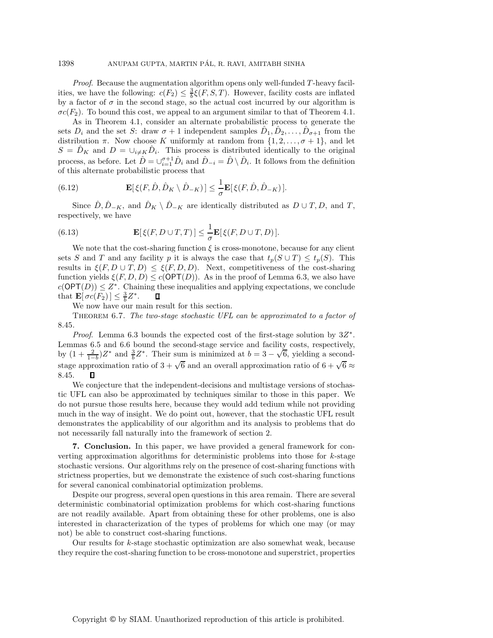*Proof*. Because the augmentation algorithm opens only well-funded T -heavy facilities, we have the following:  $c(F_2) \leq \frac{3}{b} \zeta(F, S, T)$ . However, facility costs are inflated by a factor of  $\sigma$  in the second stage, so the actual cost incurred by our algorithm is  $\sigma c(F_2)$ . To bound this cost, we appeal to an argument similar to that of Theorem 4.1.

As in Theorem 4.1, consider an alternate probabilistic process to generate the sets  $D_i$  and the set S: draw  $\sigma+1$  independent samples  $D_1, D_2, \ldots, D_{\sigma+1}$  from the distribution  $\pi$ . Now choose K uniformly at random from  $\{1, 2, \ldots, \sigma + 1\}$ , and let  $S = \hat{D}_K$  and  $D = \cup_{i \neq K} \hat{D}_i$ . This process is distributed identically to the original process, as before. Let  $\hat{D} = \bigcup_{i=1}^{\sigma+1} \hat{D}_i$  and  $\hat{D}_{-i} = \hat{D} \setminus \hat{D}_i$ . It follows from the definition of this alternate probabilistic process that

(6.12) 
$$
\mathbf{E}[\xi(F,\hat{D},\hat{D}_K\setminus\hat{D}_{-K})] \leq \frac{1}{\sigma}\mathbf{E}[\xi(F,\hat{D},\hat{D}_{-K})].
$$

Since  $\hat{D}, \hat{D}_{-K}$ , and  $\hat{D}_{K} \setminus \hat{D}_{-K}$  are identically distributed as  $D \cup T, D$ , and T, respectively, we have

(6.13) 
$$
\mathbf{E}[\xi(F, D \cup T, T)] \leq \frac{1}{\sigma} \mathbf{E}[\xi(F, D \cup T, D)].
$$

We note that the cost-sharing function  $\xi$  is cross-monotone, because for any client sets S and T and any facility p it is always the case that  $t_p(S \cup T) \leq t_p(S)$ . This results in  $\xi(F, D \cup T, D) \leq \xi(F, D, D)$ . Next, competitiveness of the cost-sharing function yields  $\xi(F, D, D) \leq c(OPT(D))$ . As in the proof of Lemma 6.3, we also have  $c(OPT(D)) \leq Z^*$ . Chaining these inequalities and applying expectations, we conclude that  $\mathbf{E}[\sigma c(F_2)] \leq \frac{3}{b}Z^*$ .  $\Box$ 

We now have our main result for this section.

Theorem 6.7. *The two-stage stochastic UFL can be approximated to a factor of* 8.45*.*

*Proof*. Lemma 6.3 bounds the expected cost of the first-stage solution by 3Z∗. Lemmas 6.5 and 6.6 bound the second-stage service and facility costs, respectively, Lemmas 6.5 and 6.6 bound the second-stage service and facility costs, respectively,<br>by  $(1 + \frac{2}{1-b})Z^*$  and  $\frac{3}{b}Z^*$ . Their sum is minimized at  $b = 3 - \sqrt{6}$ , yielding a secondstage approximation ratio of  $3 + \sqrt{6}$  and an overall approximation ratio of  $6 + \sqrt{6} \approx$ 8.45.  $\Box$ 

We conjecture that the independent-decisions and multistage versions of stochastic UFL can also be approximated by techniques similar to those in this paper. We do not pursue those results here, because they would add tedium while not providing much in the way of insight. We do point out, however, that the stochastic UFL result demonstrates the applicability of our algorithm and its analysis to problems that do not necessarily fall naturally into the framework of section 2.

**7. Conclusion.** In this paper, we have provided a general framework for converting approximation algorithms for deterministic problems into those for k-stage stochastic versions. Our algorithms rely on the presence of cost-sharing functions with strictness properties, but we demonstrate the existence of such cost-sharing functions for several canonical combinatorial optimization problems.

Despite our progress, several open questions in this area remain. There are several deterministic combinatorial optimization problems for which cost-sharing functions are not readily available. Apart from obtaining these for other problems, one is also interested in characterization of the types of problems for which one may (or may not) be able to construct cost-sharing functions.

Our results for k-stage stochastic optimization are also somewhat weak, because they require the cost-sharing function to be cross-monotone and superstrict, properties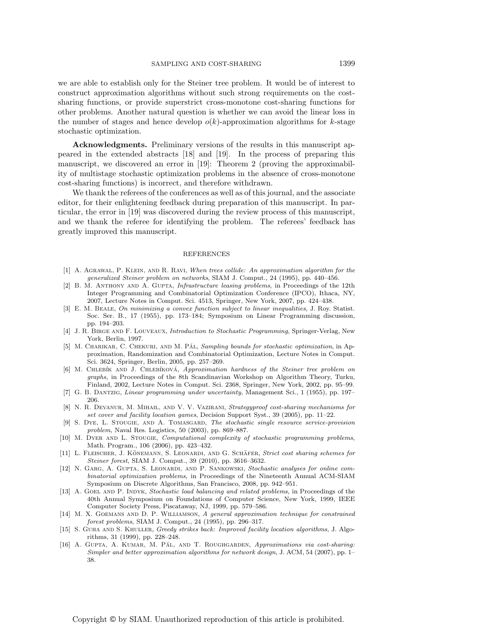we are able to establish only for the Steiner tree problem. It would be of interest to construct approximation algorithms without such strong requirements on the costsharing functions, or provide superstrict cross-monotone cost-sharing functions for other problems. Another natural question is whether we can avoid the linear loss in the number of stages and hence develop  $o(k)$ -approximation algorithms for k-stage stochastic optimization.

**Acknowledgments.** Preliminary versions of the results in this manuscript appeared in the extended abstracts [18] and [19]. In the process of preparing this manuscript, we discovered an error in [19]: Theorem 2 (proving the approximability of multistage stochastic optimization problems in the absence of cross-monotone cost-sharing functions) is incorrect, and therefore withdrawn.

We thank the referees of the conferences as well as of this journal, and the associate editor, for their enlightening feedback during preparation of this manuscript. In particular, the error in [19] was discovered during the review process of this manuscript, and we thank the referee for identifying the problem. The referees' feedback has greatly improved this manuscript.

## REFERENCES

- [1] A. Agrawal, P. Klein, and R. Ravi, When trees collide: An approximation algorithm for the generalized Steiner problem on networks, SIAM J. Comput., 24 (1995), pp. 440–456.
- [2] B. M. ANTHONY AND A. GUPTA, Infrastructure leasing problems, in Proceedings of the 12th Integer Programming and Combinatorial Optimization Conference (IPCO), Ithaca, NY, 2007, Lecture Notes in Comput. Sci. 4513, Springer, New York, 2007, pp. 424–438.
- [3] E. M. BEALE, On minimizing a convex function subject to linear inequalities, J. Roy. Statist. Soc. Ser. B., 17 (1955), pp. 173–184; Symposium on Linear Programming discussion, pp. 194–203.
- [4] J. R. BIRGE AND F. LOUVEAUX, *Introduction to Stochastic Programming*, Springer-Verlag, New York, Berlin, 1997.
- [5] M. CHARIKAR, C. CHEKURI, AND M. PÁL, Sampling bounds for stochastic optimization, in Approximation, Randomization and Combinatorial Optimization, Lecture Notes in Comput. Sci. 3624, Springer, Berlin, 2005, pp. 257–269.
- [6] M. CHLEBÍK AND J. CHLEBÍKOVÁ, Approximation hardness of the Steiner tree problem on graphs, in Proceedings of the 8th Scandinavian Workshop on Algorithm Theory, Turku, Finland, 2002, Lecture Notes in Comput. Sci. 2368, Springer, New York, 2002, pp. 95–99.
- [7] G. B. Dantzig, Linear programming under uncertainty, Management Sci., 1 (1955), pp. 197– 206.
- [8] N. R. Devanur, M. Mihail, and V. V. Vazirani, Strategyproof cost-sharing mechanisms for set cover and facility location games, Decision Support Syst., 39 (2005), pp. 11–22.
- [9] S. Dye, L. Stougie, and A. Tomasgard, The stochastic single resource service-provision problem, Naval Res. Logistics, 50 (2003), pp. 869–887.
- [10] M. DYER AND L. STOUGIE, *Computational complexity of stochastic programming problems*, Math. Program., 106 (2006), pp. 423–432.
- [11] L. FLEISCHER, J. KÖNEMANN, S. LEONARDI, AND G. SCHÄFER, Strict cost sharing schemes for Steiner forest, SIAM J. Comput., 39 (2010), pp. 3616–3632.
- [12] N. Garg, A. Gupta, S. Leonardi, and P. Sankowski, Stochastic analyses for online combinatorial optimization problems, in Proceedings of the Nineteenth Annual ACM-SIAM Symposium on Discrete Algorithms, San Francisco, 2008, pp. 942–951.
- [13] A. GOEL AND P. INDYK, Stochastic load balancing and related problems, in Proceedings of the 40th Annual Symposium on Foundations of Computer Science, New York, 1999, IEEE Computer Society Press, Piscataway, NJ, 1999, pp. 579–586.
- [14] M. X. GOEMANS AND D. P. WILLIAMSON, A general approximation technique for constrained forest problems, SIAM J. Comput., 24 (1995), pp. 296–317.
- [15] S. Guha and S. Khuller, Greedy strikes back: Improved facility location algorithms, J. Algorithms, 31 (1999), pp. 228–248.
- [16] A. GUPTA, A. KUMAR, M. PÁL, AND T. ROUGHGARDEN, Approximations via cost-sharing: Simpler and better approximation algorithms for network design, J. ACM, 54 (2007), pp. 1– 38.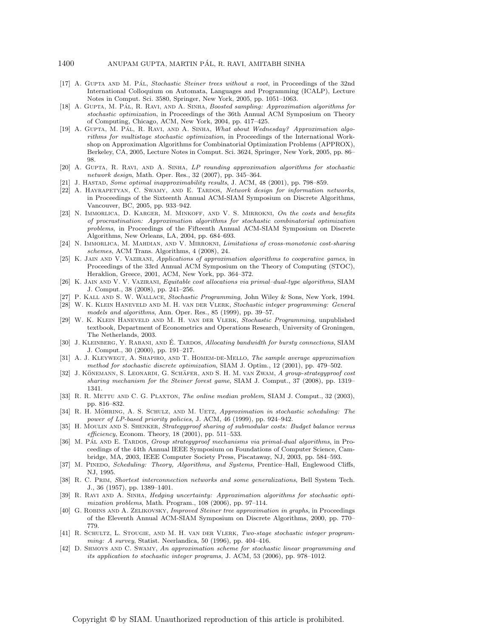- [17] A. GUPTA AND M. PÁL, Stochastic Steiner trees without a root, in Proceedings of the 32nd International Colloquium on Automata, Languages and Programming (ICALP), Lecture Notes in Comput. Sci. 3580, Springer, New York, 2005, pp. 1051–1063.
- [18] A. GUPTA, M. PÁL, R. RAVI, AND A. SINHA, *Boosted sampling: Approximation algorithms for* stochastic optimization, in Proceedings of the 36th Annual ACM Symposium on Theory of Computing, Chicago, ACM, New York, 2004, pp. 417–425.
- [19] A. GUPTA, M. PÁL, R. RAVI, AND A. SINHA, What about Wednesday? Approximation algorithms for multistage stochastic optimization, in Proceedings of the International Workshop on Approximation Algorithms for Combinatorial Optimization Problems (APPROX), Berkeley, CA, 2005, Lecture Notes in Comput. Sci. 3624, Springer, New York, 2005, pp. 86– 98.
- [20] A. Gupta, R. Ravi, and A. Sinha, LP rounding approximation algorithms for stochastic network design, Math. Oper. Res., 32 (2007), pp. 345–364.
- [21] J. HASTAD, Some optimal inapproximability results, J. ACM, 48 (2001), pp. 798–859.
- [22] A. HAYRAPETYAN, C. SWAMY, AND E. TARDOS, Network design for information networks, in Proceedings of the Sixteenth Annual ACM-SIAM Symposium on Discrete Algorithms, Vancouver, BC, 2005, pp. 933–942.
- [23] N. IMMORLICA, D. KARGER, M. MINKOFF, AND V. S. MIRROKNI, On the costs and benefits of procrastination: Approximation algorithms for stochastic combinatorial optimization problems, in Proceedings of the Fifteenth Annual ACM-SIAM Symposium on Discrete Algorithms, New Orleans, LA, 2004, pp. 684–693.
- [24] N. IMMORLICA, M. MAHDIAN, AND V. MIRROKNI, Limitations of cross-monotonic cost-sharing schemes, ACM Trans. Algorithms, 4 (2008), 24.
- [25] K. Jain and V. Vazirani, Applications of approximation algorithms to cooperative games, in Proceedings of the 33rd Annual ACM Symposium on the Theory of Computing (STOC), Heraklion, Greece, 2001, ACM, New York, pp. 364–372.
- [26] K. Jain and V. V. Vazirani, Equitable cost allocations via primal–dual-type algorithms, SIAM J. Comput., 38 (2008), pp. 241–256.
- [27] P. KALL AND S. W. WALLACE, Stochastic Programming, John Wiley & Sons, New York, 1994.
- [28] W. K. Klein Haneveld and M. H. van der Vlerk, Stochastic integer programming: General models and algorithms, Ann. Oper. Res., 85 (1999), pp. 39–57.
- [29] W. K. Klein Haneveld and M. H. van der Vlerk, Stochastic Programming, unpublished textbook, Department of Econometrics and Operations Research, University of Groningen, The Netherlands, 2003.
- [30] J. KLEINBERG, Y. RABANI, AND É. TARDOS, Allocating bandwidth for bursty connections, SIAM J. Comput., 30 (2000), pp. 191–217.
- [31] A. J. KLEYWEGT, A. SHAPIRO, AND T. HOMEM-DE-MELLO, The sample average approximation method for stochastic discrete optimization, SIAM J. Optim., 12 (2001), pp. 479–502.
- [32] J. KÖNEMANN, S. LEONARDI, G. SCHÄFER, AND S. H. M. VAN ZWAM, A group-strategyproof cost sharing mechanism for the Steiner forest game, SIAM J. Comput., 37 (2008), pp. 1319– 1341.
- [33] R. R. METTU AND C. G. PLAXTON, The online median problem, SIAM J. Comput., 32 (2003), pp. 816–832.
- [34] R. H. MÖHRING, A. S. SCHULZ, AND M. UETZ, Approximation in stochastic scheduling: The power of LP-based priority policies, J. ACM, 46 (1999), pp. 924–942.
- [35] H. MOULIN AND S. SHENKER, Strategyproof sharing of submodular costs: Budget balance versus efficiency, Econom. Theory, 18 (2001), pp. 511–533.
- [36] M. PAL AND E. TARDOS, Group strategyproof mechanisms via primal-dual algorithms, in Proceedings of the 44th Annual IEEE Symposium on Foundations of Computer Science, Cambridge, MA, 2003, IEEE Computer Society Press, Piscataway, NJ, 2003, pp. 584–593.
- [37] M. PINEDO, Scheduling: Theory, Algorithms, and Systems, Prentice–Hall, Englewood Cliffs, NJ, 1995.
- [38] R. C. Prim, Shortest interconnection networks and some generalizations, Bell System Tech. J., 36 (1957), pp. 1389–1401.
- [39] R. RAVI AND A. SINHA, Hedging uncertainty: Approximation algorithms for stochastic optimization problems, Math. Program., 108 (2006), pp. 97–114.
- [40] G. ROBINS AND A. ZELIKOVSKY, Improved Steiner tree approximation in graphs, in Proceedings of the Eleventh Annual ACM-SIAM Symposium on Discrete Algorithms, 2000, pp. 770– 779.
- [41] R. Schultz, L. Stougie, and M. H. van der Vlerk, Two-stage stochastic integer programming: A survey, Statist. Neerlandica, 50 (1996), pp. 404–416.
- [42] D. Shmoys and C. Swamy, An approximation scheme for stochastic linear programming and its application to stochastic integer programs, J. ACM, 53 (2006), pp. 978–1012.